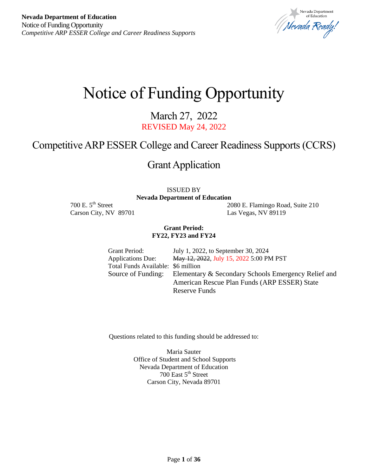Vevada Department Nevada Ready.

# Notice of Funding Opportunity

March 27, 2022 REVISED May 24, 2022

# Competitive ARP ESSER College and Career Readiness Supports (CCRS)

# Grant Application

ISSUED BY

**Nevada Department of Education**

Carson City, NV 89701 Las Vegas, NV 89119

700 E. 5th Street 2080 E. Flamingo Road, Suite 210

#### **Grant Period: FY22, FY23 and FY24**

Grant Period: July 1, 2022, to September 30, 2024 Applications Due: May 12, 2022, July 15, 2022 5:00 PM PST Total Funds Available: \$6 million Source of Funding: Elementary & Secondary Schools Emergency Relief and American Rescue Plan Funds (ARP ESSER) State Reserve Funds

Questions related to this funding should be addressed to:

Maria Sauter Office of Student and School Supports Nevada Department of Education 700 East 5<sup>th</sup> Street Carson City, Nevada 89701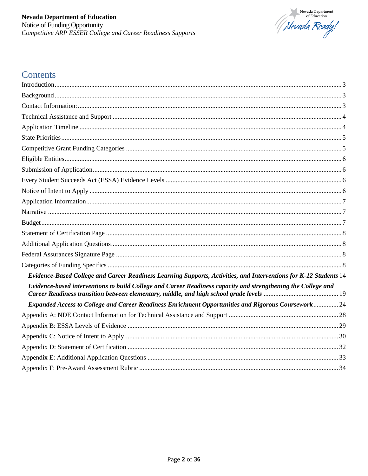

# Contents

| Evidence-Based College and Career Readiness Learning Supports, Activities, and Interventions for K-12 Students 14 |  |
|-------------------------------------------------------------------------------------------------------------------|--|
| Evidence-based interventions to build College and Career Readiness capacity and strengthening the College and     |  |
| Expanded Access to College and Career Readiness Enrichment Opportunities and Rigorous Coursework24                |  |
|                                                                                                                   |  |
|                                                                                                                   |  |
|                                                                                                                   |  |
|                                                                                                                   |  |
|                                                                                                                   |  |
|                                                                                                                   |  |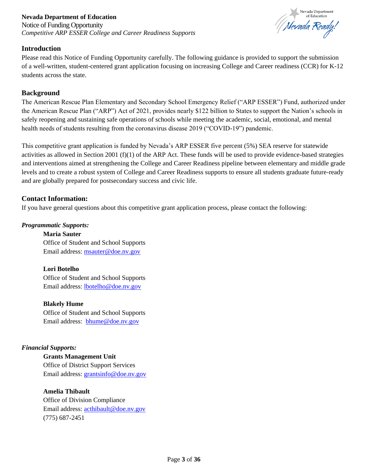# **Nevada Department of Education** Notice of Funding Opportunity *Competitive ARP ESSER College and Career Readiness Supports*



# <span id="page-2-0"></span>**Introduction**

Please read this Notice of Funding Opportunity carefully. The following guidance is provided to support the submission of a well-written, student-centered grant application focusing on increasing College and Career readiness (CCR) for K-12 students across the state.

# <span id="page-2-1"></span>**Background**

The American Rescue Plan Elementary and Secondary School Emergency Relief ("ARP ESSER") Fund, authorized under the American Rescue Plan ("ARP") Act of 2021, provides nearly \$122 billion to States to support the Nation's schools in safely reopening and sustaining safe operations of schools while meeting the academic, social, emotional, and mental health needs of students resulting from the coronavirus disease 2019 ("COVID-19") pandemic.

This competitive grant application is funded by Nevada's ARP ESSER five percent (5%) SEA reserve for statewide activities as allowed in Section 2001 (f)(1) of the ARP Act. These funds will be used to provide evidence-based strategies and interventions aimed at strengthening the College and Career Readiness pipeline between elementary and middle grade levels and to create a robust system of College and Career Readiness supports to ensure all students graduate future-ready and are globally prepared for postsecondary success and civic life.

# <span id="page-2-2"></span>**Contact Information:**

If you have general questions about this competitive grant application process, please contact the following:

# *Programmatic Supports:*

**Maria Sauter** Office of Student and School Supports Email address: [msauter@doe.nv.gov](mailto:msauter@doe.nv.gov)

# **Lori Botelho**

Office of Student and School Supports Email address: [lbotelho@doe.nv.gov](mailto:lbotelho@doe.nv.gov)

**Blakely Hume** Office of Student and School Supports Email address: [bhume@doe.nv.gov](mailto:bhume@doe.nv.gov)

# *Financial Supports:*

**Grants Management Unit** Office of District Support Services Email address: [grantsinfo@doe.nv.gov](mailto:grantsinfo@doe.nv.gov)

# **Amelia Thibault**

<span id="page-2-3"></span>Office of Division Compliance Email address: [acthibault@doe.nv.gov](mailto:acthibault@doe.nv.gov) (775) 687-2451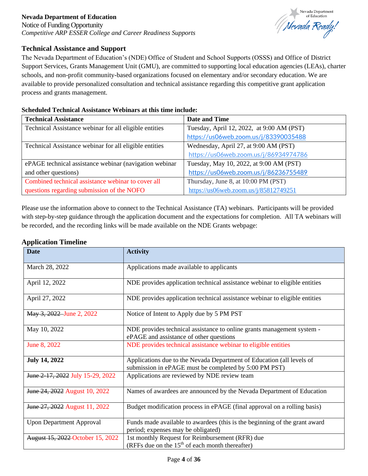Notice of Funding Opportunity *Competitive ARP ESSER College and Career Readiness Supports*



# **Technical Assistance and Support**

The Nevada Department of Education's (NDE) Office of Student and School Supports (OSSS) and Office of District Support Services, Grants Management Unit (GMU), are committed to supporting local education agencies (LEAs), charter schools, and non-profit community-based organizations focused on elementary and/or secondary education. We are available to provide personalized consultation and technical assistance regarding this competitive grant application process and grants management.

# **Scheduled Technical Assistance Webinars at this time include:**

| <b>Technical Assistance</b>                             | <b>Date and Time</b>                      |
|---------------------------------------------------------|-------------------------------------------|
| Technical Assistance webinar for all eligible entities  | Tuesday, April 12, 2022, at 9:00 AM (PST) |
|                                                         | https://us06web.zoom.us/j/83390035488     |
| Technical Assistance webinar for all eligible entities  | Wednesday, April 27, at 9:00 AM (PST)     |
|                                                         | https://us06web.zoom.us/j/86934974786     |
| ePAGE technical assistance webinar (navigation webinar) | Tuesday, May 10, 2022, at 9:00 AM (PST)   |
| and other questions)                                    | https://us06web.zoom.us/j/86236755489     |
| Combined technical assistance webinar to cover all      | Thursday, June 8, at 10:00 PM (PST)       |
| questions regarding submission of the NOFO              | https://us06web.zoom.us/j/85812749251     |

Please use the information above to connect to the Technical Assistance (TA) webinars. Participants will be provided with step-by-step guidance through the application document and the expectations for completion. All TA webinars will be recorded, and the recording links will be made available on the NDE Grants webpage:

# <span id="page-3-0"></span>**Application Timeline**

| <b>Date</b>                      | <b>Activity</b>                                                                                                                |
|----------------------------------|--------------------------------------------------------------------------------------------------------------------------------|
| March 28, 2022                   | Applications made available to applicants                                                                                      |
| April 12, 2022                   | NDE provides application technical assistance webinar to eligible entities                                                     |
| April 27, 2022                   | NDE provides application technical assistance webinar to eligible entities                                                     |
| May 3, 2022 June 2, 2022         | Notice of Intent to Apply due by 5 PM PST                                                                                      |
| May 10, 2022                     | NDE provides technical assistance to online grants management system -<br>ePAGE and assistance of other questions              |
| June 8, 2022                     | NDE provides technical assistance webinar to eligible entities                                                                 |
| <b>July 14, 2022</b>             | Applications due to the Nevada Department of Education (all levels of<br>submission in ePAGE must be completed by 5:00 PM PST) |
| June 2-17, 2022 July 15-29, 2022 | Applications are reviewed by NDE review team                                                                                   |
| June 24, 2022 August 10, 2022    | Names of awardees are announced by the Nevada Department of Education                                                          |
| June 27, 2022 August 11, 2022    | Budget modification process in ePAGE (final approval on a rolling basis)                                                       |
| <b>Upon Department Approval</b>  | Funds made available to awardees (this is the beginning of the grant award<br>period; expenses may be obligated)               |
| August 15, 2022 October 15, 2022 | 1st monthly Request for Reimbursement (RFR) due<br>(RFFs due on the $15th$ of each month thereafter)                           |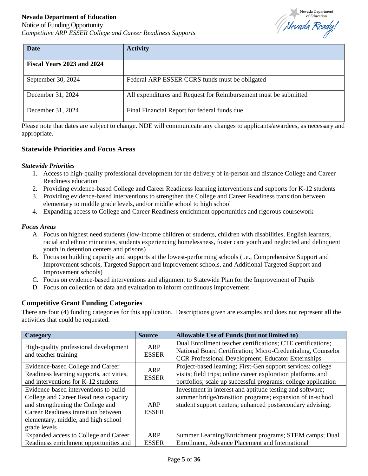Notice of Funding Opportunity *Competitive ARP ESSER College and Career Readiness Supports*



| <b>Date</b>                | <b>Activity</b>                                                  |
|----------------------------|------------------------------------------------------------------|
| Fiscal Years 2023 and 2024 |                                                                  |
| September 30, 2024         | Federal ARP ESSER CCRS funds must be obligated                   |
| December 31, 2024          | All expenditures and Request for Reimbursement must be submitted |
| December 31, 2024          | Final Financial Report for federal funds due                     |

Please note that dates are subject to change. NDE will communicate any changes to applicants/awardees, as necessary and appropriate.

# <span id="page-4-0"></span>**Statewide Priorities and Focus Areas**

#### *Statewide Priorities*

- 1. Access to high-quality professional development for the delivery of in-person and distance College and Career Readiness education
- 2. Providing evidence-based College and Career Readiness learning interventions and supports for K-12 students
- 3. Providing evidence-based interventions to strengthen the College and Career Readiness transition between elementary to middle grade levels, and/or middle school to high school
- 4. Expanding access to College and Career Readiness enrichment opportunities and rigorous coursework

#### *Focus Areas*

- A. Focus on highest need students (low-income children or students, children with disabilities, English learners, racial and ethnic minorities, students experiencing homelessness, foster care youth and neglected and delinquent youth in detention centers and prisons)
- B. Focus on building capacity and supports at the lowest-performing schools (i.e., Comprehensive Support and Improvement schools, Targeted Support and Improvement schools, and Additional Targeted Support and Improvement schools)
- C. Focus on evidence-based interventions and alignment to Statewide Plan for the Improvement of Pupils
- D. Focus on collection of data and evaluation to inform continuous improvement

# <span id="page-4-1"></span>**Competitive Grant Funding Categories**

There are four (4) funding categories for this application. Descriptions given are examples and does not represent all the activities that could be requested.

| <b>Category</b>                                                                                                                                                                                                   | <b>Source</b>       | Allowable Use of Funds (but not limited to)                                                                                                                                                  |
|-------------------------------------------------------------------------------------------------------------------------------------------------------------------------------------------------------------------|---------------------|----------------------------------------------------------------------------------------------------------------------------------------------------------------------------------------------|
| High-quality professional development<br>and teacher training                                                                                                                                                     | ARP<br><b>ESSER</b> | Dual Enrollment teacher certifications; CTE certifications;<br>National Board Certification; Micro-Credentialing, Counselor<br>CCR Professional Development; Educator Externships            |
| Evidence-based College and Career<br>Readiness learning supports, activities,<br>and interventions for K-12 students                                                                                              | ARP<br><b>ESSER</b> | Project-based learning; First-Gen support services; college<br>visits; field trips; online career exploration platforms and<br>portfolios; scale up successful programs; college application |
| Evidence-based interventions to build<br>College and Career Readiness capacity<br>and strengthening the College and<br>Career Readiness transition between<br>elementary, middle, and high school<br>grade levels | ARP<br><b>ESSER</b> | Investment in interest and aptitude testing and software;<br>summer bridge/transition programs; expansion of in-school<br>student support centers; enhanced postsecondary advising;          |
| Expanded access to College and Career                                                                                                                                                                             | ARP                 | Summer Learning/Enrichment programs; STEM camps; Dual                                                                                                                                        |
| Readiness enrichment opportunities and                                                                                                                                                                            | <b>ESSER</b>        | Enrollment, Advance Placement and International                                                                                                                                              |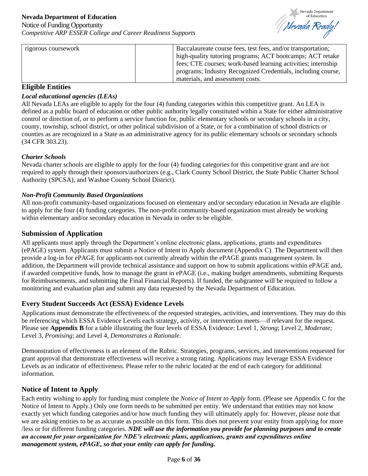

| rigorous coursework | Baccalaureate course fees, test fees, and/or transportation;  |
|---------------------|---------------------------------------------------------------|
|                     | high-quality tutoring programs; ACT bootcamps; ACT retake     |
|                     | fees; CTE courses; work-based learning activities; internship |
|                     | programs; Industry Recognized Credentials, including course,  |
|                     | materials, and assessment costs.                              |

# <span id="page-5-0"></span>**Eligible Entities**

# *Local educational agencies (LEAs)*

All Nevada LEAs are eligible to apply for the four (4) funding categories within this competitive grant. An LEA is defined as a public board of education or other public authority legally constituted within a State for either administrative control or direction of, or to perform a service function for, public elementary schools or secondary schools in a city, county, township, school district, or other political subdivision of a State, or for a combination of school districts or counties as are recognized in a State as an administrative agency for its public elementary schools or secondary schools (34 CFR 303.23).

# *Charter Schools*

Nevada charter schools are eligible to apply for the four (4) funding categories for this competitive grant and are not required to apply through their sponsors/authorizers (e.g., Clark County School District, the State Public Charter School Authority (SPCSA), and Washoe County School District).

#### *Non-Profit Community Based Organizations*

All non-profit community-based organizations focused on elementary and/or secondary education in Nevada are eligible to apply for the four (4) funding categories. The non-profit community-based organization must already be working within elementary and/or secondary education in Nevada in order to be eligible.

# <span id="page-5-1"></span>**Submission of Application**

All applicants must apply through the Department's online electronic plans, applications, grants and expenditures (ePAGE) system. Applicants must submit a Notice of Intent to Apply document (Appendix C). The Department will then provide a log-in for ePAGE for applicants not currently already within the ePAGE grants management system. In addition, the Department will provide technical assistance and support on how to submit applications within ePAGE and, if awarded competitive funds, how to manage the grant in ePAGE (i.e., making budget amendments, submitting Requests for Reimbursements, and submitting the Final Financial Reports). If funded, the subgrantee will be required to follow a monitoring and evaluation plan and submit any data requested by the Nevada Department of Education.

# <span id="page-5-2"></span>**Every Student Succeeds Act (ESSA) Evidence Levels**

Applications must demonstrate the effectiveness of the requested strategies, activities, and interventions. They may do this be referencing which ESSA Evidence Levels each strategy, activity, or intervention meets—if relevant for the request. Please see **Appendix B** for a table illustrating the four levels of ESSA Evidence: Level 1, *Strong*; Level 2, *Moderate*; Level 3, *Promising*; and Level 4, *Demonstrates a Rationale*.

Demonstration of effectiveness is an element of the Rubric. Strategies, programs, services, and interventions requested for grant approval that demonstrate effectiveness will receive a strong rating. Applications may leverage ESSA Evidence Levels as an indicator of effectiveness. Please refer to the rubric located at the end of each category for additional information.

# <span id="page-5-3"></span>**Notice of Intent to Apply**

Each entity wishing to apply for funding must complete the *Notice of Intent to Apply* form. (Please see Appendix C for the Notice of Intent to Apply.) Only one form needs to be submitted per entity. We understand that entities may not know exactly yet which funding categories and/or how much funding they will ultimately apply for. However, please note that we are asking entities to be as accurate as possible on this form. This does not prevent your entity from applying for more /less or for different funding categories. *NDE will use the information you provide for planning purposes and to create an account for your organization for NDE's electronic plans, applications, grants and expenditures online management system, ePAGE, so that your entity can apply for funding.*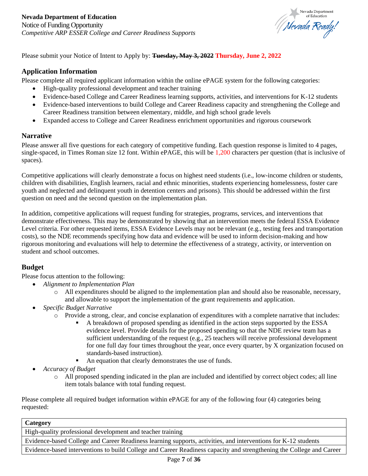

Please submit your Notice of Intent to Apply by: **Tuesday, May 3, 2022 Thursday, June 2, 2022**

# <span id="page-6-0"></span>**Application Information**

Please complete all required applicant information within the online ePAGE system for the following categories:

- High-quality professional development and teacher training
- Evidence-based College and Career Readiness learning supports, activities, and interventions for K-12 students
- Evidence-based interventions to build College and Career Readiness capacity and strengthening the College and Career Readiness transition between elementary, middle, and high school grade levels
- Expanded access to College and Career Readiness enrichment opportunities and rigorous coursework

#### <span id="page-6-1"></span>**Narrative**

Please answer all five questions for each category of competitive funding. Each question response is limited to 4 pages, single-spaced, in Times Roman size 12 font. Within ePAGE, this will be 1,200 characters per question (that is inclusive of spaces).

Competitive applications will clearly demonstrate a focus on highest need students (i.e., low-income children or students, children with disabilities, English learners, racial and ethnic minorities, students experiencing homelessness, foster care youth and neglected and delinquent youth in detention centers and prisons). This should be addressed within the first question on need and the second question on the implementation plan.

In addition, competitive applications will request funding for strategies, programs, services, and interventions that demonstrate effectiveness. This may be demonstrated by showing that an intervention meets the federal ESSA Evidence Level criteria. For other requested items, ESSA Evidence Levels may not be relevant (e.g., testing fees and transportation costs), so the NDE recommends specifying how data and evidence will be used to inform decision-making and how rigorous monitoring and evaluations will help to determine the effectiveness of a strategy, activity, or intervention on student and school outcomes.

# <span id="page-6-2"></span>**Budget**

Please focus attention to the following:

- *Alignment to Implementation Plan*
	- o All expenditures should be aligned to the implementation plan and should also be reasonable, necessary, and allowable to support the implementation of the grant requirements and application.
- *Specific Budget Narrative*
	- o Provide a strong, clear, and concise explanation of expenditures with a complete narrative that includes:
		- A breakdown of proposed spending as identified in the action steps supported by the ESSA evidence level. Provide details for the proposed spending so that the NDE review team has a sufficient understanding of the request (e.g., 25 teachers will receive professional development for one full day four times throughout the year, once every quarter, by X organization focused on standards-based instruction).
		- An equation that clearly demonstrates the use of funds.
- *Accuracy of Budget*
	- o All proposed spending indicated in the plan are included and identified by correct object codes; all line item totals balance with total funding request.

Please complete all required budget information within ePAGE for any of the following four (4) categories being requested:

#### **Category**

High-quality professional development and teacher training

Evidence-based College and Career Readiness learning supports, activities, and interventions for K-12 students

Evidence-based interventions to build College and Career Readiness capacity and strengthening the College and Career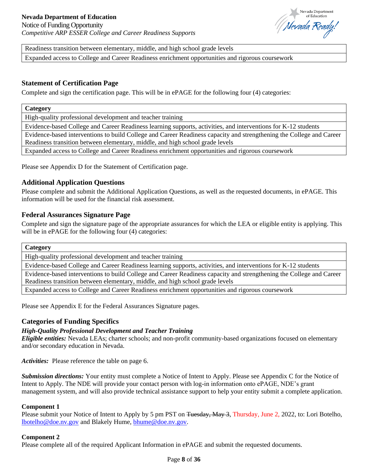

Readiness transition between elementary, middle, and high school grade levels

Expanded access to College and Career Readiness enrichment opportunities and rigorous coursework

# <span id="page-7-0"></span>**Statement of Certification Page**

Complete and sign the certification page. This will be in ePAGE for the following four (4) categories:

#### **Category**

High-quality professional development and teacher training

Evidence-based College and Career Readiness learning supports, activities, and interventions for K-12 students

Evidence-based interventions to build College and Career Readiness capacity and strengthening the College and Career Readiness transition between elementary, middle, and high school grade levels

Expanded access to College and Career Readiness enrichment opportunities and rigorous coursework

Please see Appendix D for the Statement of Certification page.

# <span id="page-7-1"></span>**Additional Application Questions**

Please complete and submit the Additional Application Questions, as well as the requested documents, in ePAGE. This information will be used for the financial risk assessment.

#### <span id="page-7-2"></span>**Federal Assurances Signature Page**

Complete and sign the signature page of the appropriate assurances for which the LEA or eligible entity is applying. This will be in ePAGE for the following four (4) categories:

#### **Category**

High-quality professional development and teacher training

Evidence-based College and Career Readiness learning supports, activities, and interventions for K-12 students

Evidence-based interventions to build College and Career Readiness capacity and strengthening the College and Career Readiness transition between elementary, middle, and high school grade levels

Expanded access to College and Career Readiness enrichment opportunities and rigorous coursework

Please see Appendix E for the Federal Assurances Signature pages.

#### <span id="page-7-3"></span>**Categories of Funding Specifics**

#### *High-Quality Professional Development and Teacher Training*

*Eligible entities:* Nevada LEAs; charter schools; and non-profit community-based organizations focused on elementary and/or secondary education in Nevada.

*Activities:* Please reference the table on page 6.

*Submission directions:* Your entity must complete a Notice of Intent to Apply. Please see Appendix C for the Notice of Intent to Apply. The NDE will provide your contact person with log-in information onto ePAGE, NDE's grant management system, and will also provide technical assistance support to help your entity submit a complete application.

#### **Component 1**

Please submit your Notice of Intent to Apply by 5 pm PST on <del>Tuesday, May 3</del>, Thursday, June 2, 2022, to: Lori Botelho, [lbotelho@doe.nv.gov](mailto:lbotelho@doe.nv.gov) and Blakely Hume, [bhume@doe.nv.gov.](mailto:bhume@doe.nv.gov)

#### **Component 2**

Please complete all of the required Applicant Information in ePAGE and submit the requested documents.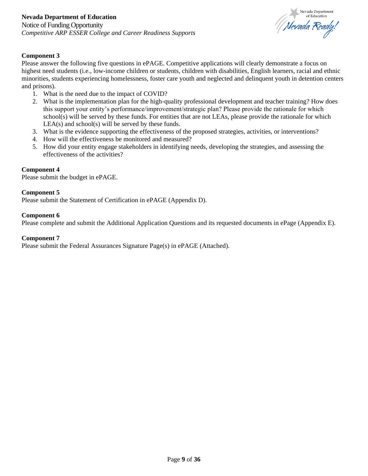

# **Component 3**

Please answer the following five questions in ePAGE. Competitive applications will clearly demonstrate a focus on highest need students (i.e., low-income children or students, children with disabilities, English learners, racial and ethnic minorities, students experiencing homelessness, foster care youth and neglected and delinquent youth in detention centers and prisons).

- 1. What is the need due to the impact of COVID?
- 2. What is the implementation plan for the high-quality professional development and teacher training? How does this support your entity's performance/improvement/strategic plan? Please provide the rationale for which school(s) will be served by these funds. For entities that are not LEAs, please provide the rationale for which  $LEA(s)$  and school(s) will be served by these funds.
- 3. What is the evidence supporting the effectiveness of the proposed strategies, activities, or interventions?
- 4. How will the effectiveness be monitored and measured?
- 5. How did your entity engage stakeholders in identifying needs, developing the strategies, and assessing the effectiveness of the activities?

#### **Component 4**

Please submit the budget in ePAGE.

#### **Component 5**

Please submit the Statement of Certification in ePAGE (Appendix D).

#### **Component 6**

Please complete and submit the Additional Application Questions and its requested documents in ePage (Appendix E).

#### **Component 7**

Please submit the Federal Assurances Signature Page(s) in ePAGE (Attached).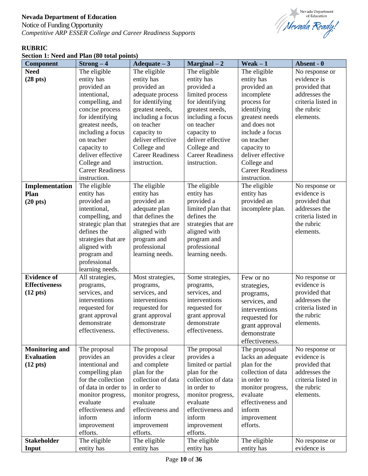Notice of Funding Opportunity *Competitive ARP ESSER College and Career Readiness Supports*



# **RUBRIC**

| Section 1: Need and Plan (80 total points) |
|--------------------------------------------|
|--------------------------------------------|

| <b>Component</b>      | $Strong-4$              | Adequate $-3$           | $Marginal-2$            | Weak $-1$               | Absent - 0         |
|-----------------------|-------------------------|-------------------------|-------------------------|-------------------------|--------------------|
| <b>Need</b>           | The eligible            | The eligible            | The eligible            | The eligible            | No response or     |
| $(28 \text{ pts})$    | entity has              | entity has              | entity has              | entity has              | evidence is        |
|                       | provided an             | provided an             | provided a              | provided an             | provided that      |
|                       | intentional,            | adequate process        | limited process         | incomplete              | addresses the      |
|                       | compelling, and         | for identifying         | for identifying         | process for             | criteria listed in |
|                       | concise process         | greatest needs,         | greatest needs,         | identifying             | the rubric         |
|                       | for identifying         | including a focus       | including a focus       | greatest needs          | elements.          |
|                       | greatest needs,         | on teacher              | on teacher              | and does not            |                    |
|                       | including a focus       | capacity to             | capacity to             | include a focus         |                    |
|                       | on teacher              | deliver effective       | deliver effective       | on teacher              |                    |
|                       | capacity to             | College and             | College and             | capacity to             |                    |
|                       | deliver effective       | <b>Career Readiness</b> | <b>Career Readiness</b> | deliver effective       |                    |
|                       | College and             | instruction.            | instruction.            | College and             |                    |
|                       | <b>Career Readiness</b> |                         |                         | <b>Career Readiness</b> |                    |
|                       | instruction.            |                         |                         | instruction.            |                    |
| Implementation        | The eligible            | The eligible            | The eligible            | The eligible            | No response or     |
| Plan                  | entity has              | entity has              | entity has              | entity has              | evidence is        |
| $(20 \text{ pts})$    | provided an             | provided an             | provided a              | provided an             | provided that      |
|                       | intentional,            | adequate plan           | limited plan that       | incomplete plan.        | addresses the      |
|                       | compelling, and         | that defines the        | defines the             |                         | criteria listed in |
|                       | strategic plan that     | strategies that are     | strategies that are     |                         | the rubric         |
|                       | defines the             | aligned with            | aligned with            |                         | elements.          |
|                       | strategies that are     | program and             | program and             |                         |                    |
|                       | aligned with            | professional            | professional            |                         |                    |
|                       | program and             | learning needs.         | learning needs.         |                         |                    |
|                       | professional            |                         |                         |                         |                    |
|                       | learning needs.         |                         |                         |                         |                    |
| <b>Evidence of</b>    | All strategies,         | Most strategies,        | Some strategies,        | Few or no               | No response or     |
| <b>Effectiveness</b>  | programs,               | programs,               | programs,               | strategies,             | evidence is        |
| $(12 \text{ pts})$    | services, and           | services, and           | services, and           | programs,               | provided that      |
|                       | interventions           | interventions           | interventions           | services, and           | addresses the      |
|                       | requested for           | requested for           | requested for           | interventions           | criteria listed in |
|                       | grant approval          | grant approval          | grant approval          | requested for           | the rubric         |
|                       | demonstrate             | demonstrate             | demonstrate             | grant approval          | elements.          |
|                       | effectiveness.          | effectiveness.          | effectiveness.          | demonstrate             |                    |
|                       |                         |                         |                         | effectiveness.          |                    |
| <b>Monitoring and</b> | The proposal            | The proposal            | The proposal            | The proposal            | No response or     |
| <b>Evaluation</b>     | provides an             | provides a clear        | provides a              | lacks an adequate       | evidence is        |
| $(12 \text{ pts})$    | intentional and         | and complete            | limited or partial      | plan for the            | provided that      |
|                       | compelling plan         | plan for the            | plan for the            | collection of data      | addresses the      |
|                       | for the collection      | collection of data      | collection of data      | in order to             | criteria listed in |
|                       | of data in order to     | in order to             | in order to             | monitor progress,       | the rubric         |
|                       | monitor progress,       | monitor progress,       | monitor progress,       | evaluate                | elements.          |
|                       | evaluate                | evaluate                | evaluate                | effectiveness and       |                    |
|                       | effectiveness and       | effectiveness and       | effectiveness and       | inform                  |                    |
|                       | inform                  | inform                  | inform                  | improvement             |                    |
|                       | improvement             | improvement             | improvement             | efforts.                |                    |
|                       | efforts.                | efforts.                | efforts.                |                         |                    |
| <b>Stakeholder</b>    | The eligible            | The eligible            | The eligible            | The eligible            | No response or     |
| Input                 | entity has              | entity has              | entity has              | entity has              | evidence is        |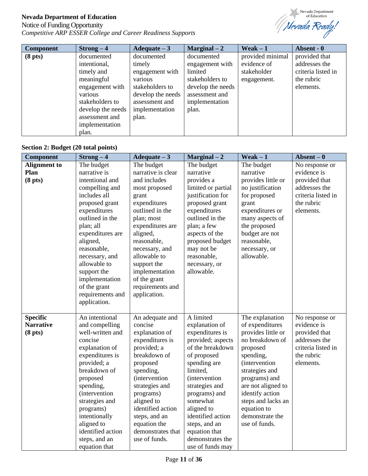# Notice of Funding Opportunity *Competitive ARP ESSER College and Career Readiness Supports*



| <b>Component</b>    | $Strong-4$        | Adequate $-3$     | $Marginal-2$      | Weak $-1$        | Absent - 0         |
|---------------------|-------------------|-------------------|-------------------|------------------|--------------------|
| (8 <sub>pts</sub> ) | documented        | documented        | documented        | provided minimal | provided that      |
|                     | intentional,      | timely            | engagement with   | evidence of      | addresses the      |
|                     | timely and        | engagement with   | limited           | stakeholder      | criteria listed in |
|                     | meaningful        | various           | stakeholders to   | engagement.      | the rubric         |
|                     | engagement with   | stakeholders to   | develop the needs |                  | elements.          |
|                     | various           | develop the needs | assessment and    |                  |                    |
|                     | stakeholders to   | assessment and    | implementation    |                  |                    |
|                     | develop the needs | implementation    | plan.             |                  |                    |
|                     | assessment and    | plan.             |                   |                  |                    |
|                     | implementation    |                   |                   |                  |                    |
|                     | plan.             |                   |                   |                  |                    |

# **Section 2: Budget (20 total points)**

| <b>Component</b>    | $Strong-4$            | Adequate $-3$      | $Marginal-2$          | $Weak - 1$            | $ Absent – 0$      |
|---------------------|-----------------------|--------------------|-----------------------|-----------------------|--------------------|
| <b>Alignment</b> to | The budget            | The budget         | The budget            | The budget            | No response or     |
| Plan                | narrative is          | narrative is clear | narrative             | narrative             | evidence is        |
| (8 <sub>pts</sub> ) | intentional and       | and includes       | provides a            | provides little or    | provided that      |
|                     | compelling and        | most proposed      | limited or partial    | no justification      | addresses the      |
|                     | includes all          | grant              | justification for     | for proposed          | criteria listed in |
|                     | proposed grant        | expenditures       | proposed grant        | grant                 | the rubric         |
|                     | expenditures          | outlined in the    | expenditures          | expenditures or       | elements.          |
|                     | outlined in the       | plan; most         | outlined in the       | many aspects of       |                    |
|                     | plan; all             | expenditures are   | plan; a few           | the proposed          |                    |
|                     | expenditures are      | aligned,           | aspects of the        | budget are not        |                    |
|                     | aligned,              | reasonable,        | proposed budget       | reasonable,           |                    |
|                     | reasonable,           | necessary, and     | may not be            | necessary, or         |                    |
|                     | necessary, and        | allowable to       | reasonable,           | allowable.            |                    |
|                     | allowable to          | support the        | necessary, or         |                       |                    |
|                     | support the           | implementation     | allowable.            |                       |                    |
|                     | implementation        | of the grant       |                       |                       |                    |
|                     | of the grant          | requirements and   |                       |                       |                    |
|                     | requirements and      | application.       |                       |                       |                    |
|                     | application.          |                    |                       |                       |                    |
|                     |                       |                    |                       |                       |                    |
| <b>Specific</b>     | An intentional        | An adequate and    | A limited             | The explanation       | No response or     |
| <b>Narrative</b>    | and compelling        | concise            | explanation of        | of expenditures       | evidence is        |
| (8 <sub>pts</sub> ) | well-written and      | explanation of     | expenditures is       | provides little or    | provided that      |
|                     | concise               | expenditures is    | provided; aspects     | no breakdown of       | addresses the      |
|                     | explanation of        | provided; a        | of the breakdown      | proposed              | criteria listed in |
|                     | expenditures is       | breakdown of       | of proposed           | spending,             | the rubric         |
|                     | provided; a           | proposed           | spending are          | <i>(intervention)</i> | elements.          |
|                     | breakdown of          | spending,          | limited,              | strategies and        |                    |
|                     | proposed              | (intervention      | <i>(intervention)</i> | programs) and         |                    |
|                     | spending,             | strategies and     | strategies and        | are not aligned to    |                    |
|                     | <i>(intervention)</i> | programs)          | programs) and         | identify action       |                    |
|                     | strategies and        | aligned to         | somewhat              | steps and lacks an    |                    |
|                     | programs)             | identified action  | aligned to            | equation to           |                    |
|                     | intentionally         | steps, and an      | identified action     | demonstrate the       |                    |
|                     | aligned to            | equation the       | steps, and an         | use of funds.         |                    |
|                     | identified action     | demonstrates that  | equation that         |                       |                    |
|                     | steps, and an         | use of funds.      | demonstrates the      |                       |                    |
|                     | equation that         |                    | use of funds may      |                       |                    |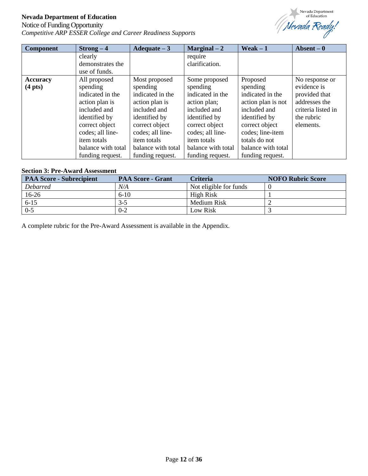# Notice of Funding Opportunity *Competitive ARP ESSER College and Career Readiness Supports*



| <b>Component</b>  | $Strong-4$         | Adequate $-3$      | $Marginal-2$       | $Weak - 1$         | Absent $-0$        |
|-------------------|--------------------|--------------------|--------------------|--------------------|--------------------|
|                   | clearly            |                    | require            |                    |                    |
|                   | demonstrates the   |                    | clarification.     |                    |                    |
|                   | use of funds.      |                    |                    |                    |                    |
| <b>Accuracy</b>   | All proposed       | Most proposed      | Some proposed      | Proposed           | No response or     |
| $(4 \text{ pts})$ | spending           | spending           | spending           | spending           | evidence is        |
|                   | indicated in the   | indicated in the   | indicated in the   | indicated in the   | provided that      |
|                   | action plan is     | action plan is     | action plan;       | action plan is not | addresses the      |
|                   | included and       | included and       | included and       | included and       | criteria listed in |
|                   | identified by      | identified by      | identified by      | identified by      | the rubric         |
|                   | correct object     | correct object     | correct object     | correct object     | elements.          |
|                   | codes; all line-   | codes; all line-   | codes; all line-   | codes; line-item   |                    |
|                   | <i>item totals</i> | <i>item totals</i> | <i>item totals</i> | totals do not      |                    |
|                   | balance with total | balance with total | balance with total | balance with total |                    |
|                   | funding request.   | funding request.   | funding request.   | funding request.   |                    |

#### **Section 3: Pre-Award Assessment**

| <b>PAA Score - Subrecipient</b> | <b>PAA Score - Grant</b> | <b>Criteria</b>        | <b>NOFO Rubric Score</b> |
|---------------------------------|--------------------------|------------------------|--------------------------|
| <b>Debarred</b>                 | N/A                      | Not eligible for funds |                          |
| 16-26                           | $6-10$                   | High Risk              |                          |
| $6 - 15$                        | $3-5$                    | Medium Risk            |                          |
| $0 - 5$                         | $0 - 2$                  | Low Risk               |                          |

A complete rubric for the Pre-Award Assessment is available in the Appendix.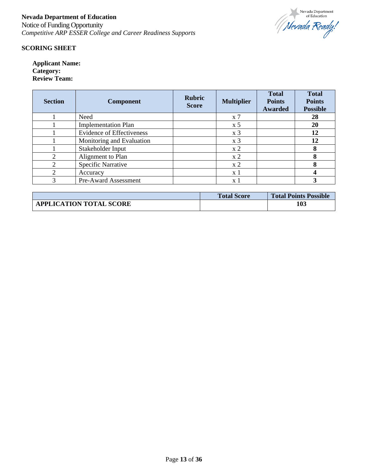

#### **SCORING SHEET**

**Applicant Name: Category: Review Team:**

| <b>Section</b>              | <b>Component</b>                 | <b>Rubric</b><br><b>Score</b> | <b>Multiplier</b>           | <b>Total</b><br><b>Points</b><br>Awarded | <b>Total</b><br><b>Points</b><br><b>Possible</b> |
|-----------------------------|----------------------------------|-------------------------------|-----------------------------|------------------------------------------|--------------------------------------------------|
|                             | Need                             |                               | $x \, 7$                    |                                          | 28                                               |
|                             | <b>Implementation Plan</b>       |                               | $\boldsymbol{\mathrm{x}}$ 5 |                                          | 20                                               |
|                             | <b>Evidence of Effectiveness</b> |                               | x <sub>3</sub>              |                                          | 12                                               |
|                             | Monitoring and Evaluation        |                               | x <sub>3</sub>              |                                          | 12                                               |
|                             | Stakeholder Input                |                               | x <sub>2</sub>              |                                          | 8                                                |
| $\mathcal{D}_{\mathcal{L}}$ | Alignment to Plan                |                               | x <sub>2</sub>              |                                          | 8                                                |
| $\mathfrak{D}$              | Specific Narrative               |                               | x <sub>2</sub>              |                                          | 8                                                |
| ↑                           | Accuracy                         |                               | x 1                         |                                          |                                                  |
| 3                           | Pre-Award Assessment             |                               | x 1                         |                                          |                                                  |

|                                | <b>Total Score</b> | <b>Total Points Possible</b> |
|--------------------------------|--------------------|------------------------------|
| <b>APPLICATION TOTAL SCORE</b> |                    | 103                          |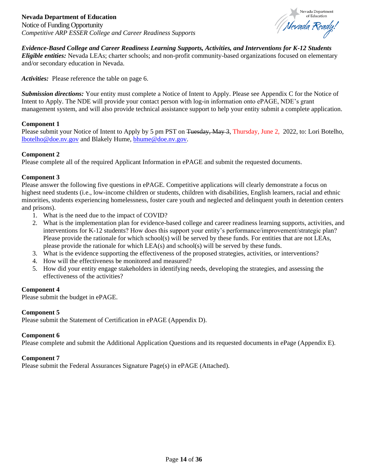

<span id="page-13-0"></span>*Evidence-Based College and Career Readiness Learning Supports, Activities, and Interventions for K-12 Students*

*Eligible entities:* Nevada LEAs; charter schools; and non-profit community-based organizations focused on elementary and/or secondary education in Nevada.

*Activities:* Please reference the table on page 6.

*Submission directions:* Your entity must complete a Notice of Intent to Apply. Please see Appendix C for the Notice of Intent to Apply. The NDE will provide your contact person with log-in information onto ePAGE, NDE's grant management system, and will also provide technical assistance support to help your entity submit a complete application.

#### **Component 1**

Please submit your Notice of Intent to Apply by 5 pm PST on Tuesday, May 3, Thursday, June 2, 2022, to: Lori Botelho, [lbotelho@doe.nv.gov](mailto:lbotelho@doe.nv.gov) and Blakely Hume, [bhume@doe.nv.gov.](mailto:bhume@doe.nv.gov)

#### **Component 2**

Please complete all of the required Applicant Information in ePAGE and submit the requested documents.

#### **Component 3**

Please answer the following five questions in ePAGE. Competitive applications will clearly demonstrate a focus on highest need students (i.e., low-income children or students, children with disabilities, English learners, racial and ethnic minorities, students experiencing homelessness, foster care youth and neglected and delinquent youth in detention centers and prisons).

- 1. What is the need due to the impact of COVID?
- 2. What is the implementation plan for evidence-based college and career readiness learning supports, activities, and interventions for K-12 students? How does this support your entity's performance/improvement/strategic plan? Please provide the rationale for which school(s) will be served by these funds. For entities that are not LEAs, please provide the rationale for which LEA(s) and school(s) will be served by these funds.
- 3. What is the evidence supporting the effectiveness of the proposed strategies, activities, or interventions?
- 4. How will the effectiveness be monitored and measured?
- 5. How did your entity engage stakeholders in identifying needs, developing the strategies, and assessing the effectiveness of the activities?

#### **Component 4**

Please submit the budget in ePAGE.

#### **Component 5**

Please submit the Statement of Certification in ePAGE (Appendix D).

#### **Component 6**

Please complete and submit the Additional Application Questions and its requested documents in ePage (Appendix E).

#### **Component 7**

Please submit the Federal Assurances Signature Page(s) in ePAGE (Attached).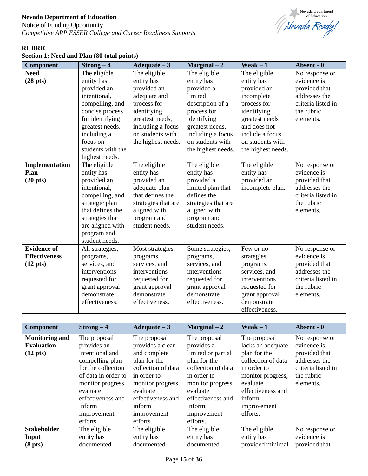Notice of Funding Opportunity *Competitive ARP ESSER College and Career Readiness Supports*



# **RUBRIC**

| Section 1: Need and Plan (80 total points) |  |  |  |  |  |  |  |
|--------------------------------------------|--|--|--|--|--|--|--|
|--------------------------------------------|--|--|--|--|--|--|--|

| <b>Component</b>     | $Strong-4$        | Adequate $-3$       | $Marginal-2$        | Weak $-1$          | Absent - 0         |
|----------------------|-------------------|---------------------|---------------------|--------------------|--------------------|
| <b>Need</b>          | The eligible      | The eligible        | The eligible        | The eligible       | No response or     |
| $(28 \text{ pts})$   | entity has        | entity has          | entity has          | entity has         | evidence is        |
|                      | provided an       | provided an         | provided a          | provided an        | provided that      |
|                      | intentional,      | adequate and        | limited             | incomplete         | addresses the      |
|                      | compelling, and   | process for         | description of a    | process for        | criteria listed in |
|                      | concise process   | identifying         | process for         | identifying        | the rubric         |
|                      | for identifying   | greatest needs,     | identifying         | greatest needs     | elements.          |
|                      | greatest needs,   | including a focus   | greatest needs,     | and does not       |                    |
|                      | including a       | on students with    | including a focus   | include a focus    |                    |
|                      | focus on          | the highest needs.  | on students with    | on students with   |                    |
|                      | students with the |                     | the highest needs.  | the highest needs. |                    |
|                      | highest needs.    |                     |                     |                    |                    |
| Implementation       | The eligible      | The eligible        | The eligible        | The eligible       | No response or     |
| Plan                 | entity has        | entity has          | entity has          | entity has         | evidence is        |
| $(20 \text{ pts})$   | provided an       | provided an         | provided a          | provided an        | provided that      |
|                      | intentional,      | adequate plan       | limited plan that   | incomplete plan.   | addresses the      |
|                      | compelling, and   | that defines the    | defines the         |                    | criteria listed in |
|                      | strategic plan    | strategies that are | strategies that are |                    | the rubric         |
|                      | that defines the  | aligned with        | aligned with        |                    | elements.          |
|                      | strategies that   | program and         | program and         |                    |                    |
|                      | are aligned with  | student needs.      | student needs.      |                    |                    |
|                      | program and       |                     |                     |                    |                    |
|                      | student needs.    |                     |                     |                    |                    |
| <b>Evidence of</b>   | All strategies,   | Most strategies,    | Some strategies,    | Few or no          | No response or     |
| <b>Effectiveness</b> | programs,         | programs,           | programs,           | strategies,        | evidence is        |
| $(12 \text{ pts})$   | services, and     | services, and       | services, and       | programs,          | provided that      |
|                      | interventions     | interventions       | interventions       | services, and      | addresses the      |
|                      | requested for     | requested for       | requested for       | interventions      | criteria listed in |
|                      | grant approval    | grant approval      | grant approval      | requested for      | the rubric         |
|                      | demonstrate       | demonstrate         | demonstrate         | grant approval     | elements.          |
|                      | effectiveness.    | effectiveness.      | effectiveness.      | demonstrate        |                    |
|                      |                   |                     |                     | effectiveness.     |                    |

| <b>Component</b>                                                 | $Strong-4$                                                                                                                                                                                                | Adequate $-3$                                                                                                                                                                                    | $Marginal-2$                                                                                                                                                                                     | $Weak-1$                                                                                                                                                                          | Absent - 0                                                                                                       |
|------------------------------------------------------------------|-----------------------------------------------------------------------------------------------------------------------------------------------------------------------------------------------------------|--------------------------------------------------------------------------------------------------------------------------------------------------------------------------------------------------|--------------------------------------------------------------------------------------------------------------------------------------------------------------------------------------------------|-----------------------------------------------------------------------------------------------------------------------------------------------------------------------------------|------------------------------------------------------------------------------------------------------------------|
| <b>Monitoring and</b><br><b>Evaluation</b><br>$(12 \text{ pts})$ | The proposal<br>provides an<br>intentional and<br>compelling plan<br>for the collection<br>of data in order to<br>monitor progress,<br>evaluate<br>effectiveness and<br>inform<br>improvement<br>efforts. | The proposal<br>provides a clear<br>and complete<br>plan for the<br>collection of data<br>in order to<br>monitor progress,<br>evaluate<br>effectiveness and<br>inform<br>improvement<br>efforts. | The proposal<br>provides a<br>limited or partial<br>plan for the<br>collection of data<br>in order to<br>monitor progress,<br>evaluate<br>effectiveness and<br>inform<br>improvement<br>efforts. | The proposal<br>lacks an adequate<br>plan for the<br>collection of data<br>in order to<br>monitor progress,<br>evaluate<br>effectiveness and<br>inform<br>improvement<br>efforts. | No response or<br>evidence is<br>provided that<br>addresses the<br>criteria listed in<br>the rubric<br>elements. |
| <b>Stakeholder</b>                                               | The eligible                                                                                                                                                                                              | The eligible                                                                                                                                                                                     | The eligible                                                                                                                                                                                     | The eligible                                                                                                                                                                      | No response or                                                                                                   |
| Input                                                            | entity has                                                                                                                                                                                                | entity has                                                                                                                                                                                       | entity has                                                                                                                                                                                       | entity has                                                                                                                                                                        | evidence is                                                                                                      |
| (8 <sub>pts</sub> )                                              | documented                                                                                                                                                                                                | documented                                                                                                                                                                                       | documented                                                                                                                                                                                       | provided minimal                                                                                                                                                                  | provided that                                                                                                    |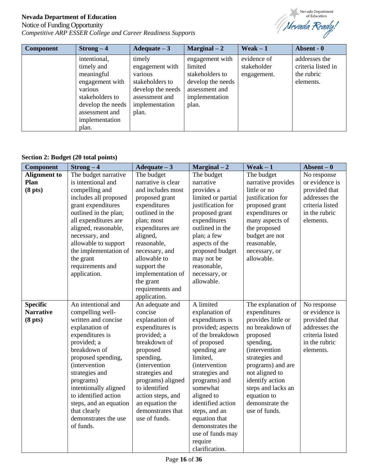# Notice of Funding Opportunity *Competitive ARP ESSER College and Career Readiness Supports*



| <b>Component</b> | $Strong-4$        | Adequate $-3$     | $Marginal-2$      | Weak $-1$   | Absent - 0         |
|------------------|-------------------|-------------------|-------------------|-------------|--------------------|
|                  | intentional,      | timely            | engagement with   | evidence of | addresses the      |
|                  | timely and        | engagement with   | limited           | stakeholder | criteria listed in |
|                  | meaningful        | various           | stakeholders to   | engagement. | the rubric         |
|                  | engagement with   | stakeholders to   | develop the needs |             | elements.          |
|                  | various           | develop the needs | assessment and    |             |                    |
|                  | stakeholders to   | assessment and    | implementation    |             |                    |
|                  | develop the needs | implementation    | plan.             |             |                    |
|                  | assessment and    | plan.             |                   |             |                    |
|                  | implementation    |                   |                   |             |                    |
|                  | plan.             |                   |                   |             |                    |

# **Section 2: Budget (20 total points)**

| <b>Component</b>    | $Strong-4$             | $A d = -3$            | $Marginal-2$          | Weak $-1$             | $ Absent - 0$   |
|---------------------|------------------------|-----------------------|-----------------------|-----------------------|-----------------|
| <b>Alignment</b> to | The budget narrative   | The budget            | The budget            | The budget            | No response     |
| Plan                | is intentional and     | narrative is clear    | narrative             | narrative provides    | or evidence is  |
| (8 <sub>pts</sub> ) | compelling and         | and includes most     | provides a            | little or no          | provided that   |
|                     | includes all proposed  | proposed grant        | limited or partial    | justification for     | addresses the   |
|                     | grant expenditures     | expenditures          | justification for     | proposed grant        | criteria listed |
|                     | outlined in the plan;  | outlined in the       | proposed grant        | expenditures or       | in the rubric   |
|                     | all expenditures are   | plan; most            | expenditures          | many aspects of       | elements.       |
|                     | aligned, reasonable,   | expenditures are      | outlined in the       | the proposed          |                 |
|                     | necessary, and         | aligned,              | plan; a few           | budget are not        |                 |
|                     | allowable to support   | reasonable,           | aspects of the        | reasonable,           |                 |
|                     | the implementation of  | necessary, and        | proposed budget       | necessary, or         |                 |
|                     | the grant              | allowable to          | may not be            | allowable.            |                 |
|                     | requirements and       | support the           | reasonable,           |                       |                 |
|                     | application.           | implementation of     | necessary, or         |                       |                 |
|                     |                        | the grant             | allowable.            |                       |                 |
|                     |                        | requirements and      |                       |                       |                 |
|                     |                        | application.          |                       |                       |                 |
| <b>Specific</b>     | An intentional and     | An adequate and       | A limited             | The explanation of    | No response     |
| <b>Narrative</b>    | compelling well-       | concise               | explanation of        | expenditures          | or evidence is  |
| (8 <sub>pts</sub> ) | written and concise    | explanation of        | expenditures is       | provides little or    | provided that   |
|                     | explanation of         | expenditures is       | provided; aspects     | no breakdown of       | addresses the   |
|                     | expenditures is        | provided; a           | of the breakdown      | proposed              | criteria listed |
|                     | provided; a            | breakdown of          | of proposed           | spending,             | in the rubric   |
|                     | breakdown of           | proposed              | spending are          | <i>(intervention)</i> | elements.       |
|                     | proposed spending,     | spending,             | limited,              | strategies and        |                 |
|                     | (intervention          | <i>(intervention)</i> | <i>(intervention)</i> | programs) and are     |                 |
|                     | strategies and         | strategies and        | strategies and        | not aligned to        |                 |
|                     | programs)              | programs) aligned     | programs) and         | identify action       |                 |
|                     | intentionally aligned  | to identified         | somewhat              | steps and lacks an    |                 |
|                     | to identified action   | action steps, and     | aligned to            | equation to           |                 |
|                     | steps, and an equation | an equation the       | identified action     | demonstrate the       |                 |
|                     | that clearly           | demonstrates that     | steps, and an         | use of funds.         |                 |
|                     | demonstrates the use   | use of funds.         | equation that         |                       |                 |
|                     | of funds.              |                       | demonstrates the      |                       |                 |
|                     |                        |                       | use of funds may      |                       |                 |
|                     |                        |                       | require               |                       |                 |
|                     |                        |                       | clarification.        |                       |                 |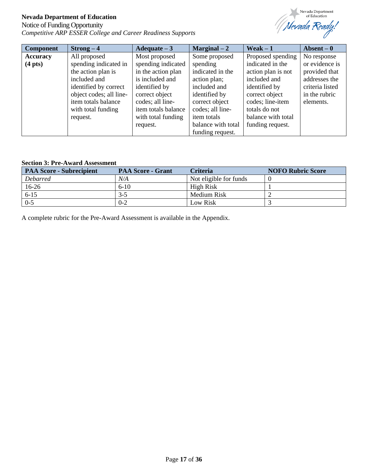# Notice of Funding Opportunity *Competitive ARP ESSER College and Career Readiness Supports*



| Component         | $Strong-4$              | Adequate $-3$       | $Marginal-2$       | Weak $-1$          | Absent $-0$     |
|-------------------|-------------------------|---------------------|--------------------|--------------------|-----------------|
| <b>Accuracy</b>   | All proposed            | Most proposed       | Some proposed      | Proposed spending  | No response     |
| $(4 \text{ pts})$ | spending indicated in   | spending indicated  | spending           | indicated in the   | or evidence is  |
|                   | the action plan is      | in the action plan  | indicated in the   | action plan is not | provided that   |
|                   | included and            | is included and     | action plan;       | included and       | addresses the   |
|                   | identified by correct   | identified by       | included and       | identified by      | criteria listed |
|                   | object codes; all line- | correct object      | identified by      | correct object     | in the rubric   |
|                   | item totals balance     | codes; all line-    | correct object     | codes; line-item   | elements.       |
|                   | with total funding      | item totals balance | codes; all line-   | totals do not      |                 |
|                   | request.                | with total funding  | <i>item totals</i> | balance with total |                 |
|                   |                         | request.            | balance with total | funding request.   |                 |
|                   |                         |                     | funding request.   |                    |                 |

#### **Section 3: Pre-Award Assessment**

| <b>PAA Score - Subrecipient</b> | <b>PAA Score - Grant</b> | <b>Criteria</b>        | <b>NOFO Rubric Score</b> |
|---------------------------------|--------------------------|------------------------|--------------------------|
| <b>Debarred</b>                 | N/A                      | Not eligible for funds |                          |
| $16-26$                         | $6-10$                   | High Risk              |                          |
| $6 - 15$                        | $3-5$                    | Medium Risk            |                          |
| $0 - 5$                         | $0 - 2$                  | Low Risk               |                          |

A complete rubric for the Pre-Award Assessment is available in the Appendix.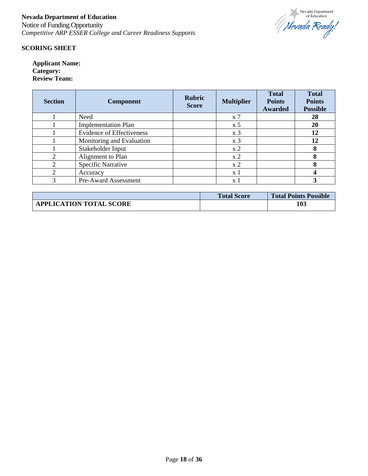

#### **SCORING SHEET**

**Applicant Name: Category: Review Team:**

| <b>Section</b> | <b>Component</b>                 | <b>Rubric</b><br><b>Score</b> | <b>Multiplier</b>  | <b>Total</b><br><b>Points</b><br>Awarded | <b>Total</b><br><b>Points</b><br><b>Possible</b> |
|----------------|----------------------------------|-------------------------------|--------------------|------------------------------------------|--------------------------------------------------|
|                | Need                             |                               | $\boldsymbol{x}$ 7 |                                          | 28                                               |
|                | <b>Implementation Plan</b>       |                               | x <sub>5</sub>     |                                          | 20                                               |
|                | <b>Evidence of Effectiveness</b> |                               | x <sub>3</sub>     |                                          | 12                                               |
|                | Monitoring and Evaluation        |                               | x <sub>3</sub>     |                                          | 12                                               |
|                | Stakeholder Input                |                               | x <sub>2</sub>     |                                          | 8                                                |
| っ              | Alignment to Plan                |                               | x <sub>2</sub>     |                                          | 8                                                |
| ∍              | <b>Specific Narrative</b>        |                               | x <sub>2</sub>     |                                          | 8                                                |
| ∍              | Accuracy                         |                               | $\mathbf{x}$ 1     |                                          |                                                  |
| 3              | Pre-Award Assessment             |                               | x 1                |                                          |                                                  |

|                                | <b>Total Score</b> | <b>Total Points Possible</b> |
|--------------------------------|--------------------|------------------------------|
| <b>APPLICATION TOTAL SCORE</b> |                    | 103                          |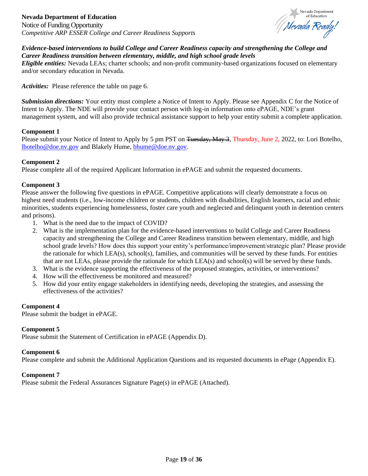

#### <span id="page-18-0"></span>*Evidence-based interventions to build College and Career Readiness capacity and strengthening the College and Career Readiness transition between elementary, middle, and high school grade levels*

*Eligible entities:* Nevada LEAs; charter schools; and non-profit community-based organizations focused on elementary and/or secondary education in Nevada.

*Activities:* Please reference the table on page 6.

*Submission directions:* Your entity must complete a Notice of Intent to Apply. Please see Appendix C for the Notice of Intent to Apply. The NDE will provide your contact person with log-in information onto ePAGE, NDE's grant management system, and will also provide technical assistance support to help your entity submit a complete application.

#### **Component 1**

Please submit your Notice of Intent to Apply by 5 pm PST on <del>Tuesday, May 3</del>, Thursday, June 2, 2022, to: Lori Botelho, [lbotelho@doe.nv.gov](mailto:lbotelho@doe.nv.gov) and Blakely Hume, [bhume@doe.nv.gov.](mailto:bhume@doe.nv.gov)

#### **Component 2**

Please complete all of the required Applicant Information in ePAGE and submit the requested documents.

#### **Component 3**

Please answer the following five questions in ePAGE. Competitive applications will clearly demonstrate a focus on highest need students (i.e., low-income children or students, children with disabilities, English learners, racial and ethnic minorities, students experiencing homelessness, foster care youth and neglected and delinquent youth in detention centers and prisons).

- 1. What is the need due to the impact of COVID?
- 2. What is the implementation plan for the evidence-based interventions to build College and Career Readiness capacity and strengthening the College and Career Readiness transition between elementary, middle, and high school grade levels? How does this support your entity's performance/improvement/strategic plan? Please provide the rationale for which LEA(s), school(s), families, and communities will be served by these funds. For entities that are not LEAs, please provide the rationale for which LEA(s) and school(s) will be served by these funds.
- 3. What is the evidence supporting the effectiveness of the proposed strategies, activities, or interventions?
- 4. How will the effectiveness be monitored and measured?
- 5. How did your entity engage stakeholders in identifying needs, developing the strategies, and assessing the effectiveness of the activities?

#### **Component 4**

Please submit the budget in ePAGE.

#### **Component 5**

Please submit the Statement of Certification in ePAGE (Appendix D).

#### **Component 6**

Please complete and submit the Additional Application Questions and its requested documents in ePage (Appendix E).

#### **Component 7**

Please submit the Federal Assurances Signature Page(s) in ePAGE (Attached).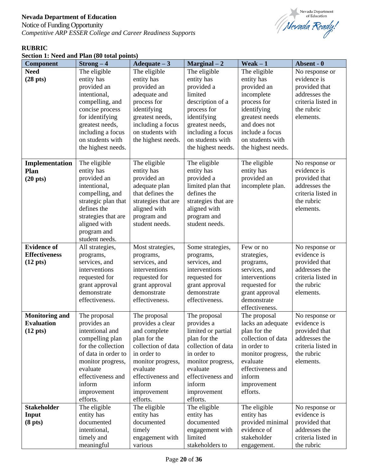Notice of Funding Opportunity *Competitive ARP ESSER College and Career Readiness Supports*



# **RUBRIC**

| Section 1: Need and Plan (80 total points) |  |
|--------------------------------------------|--|
|--------------------------------------------|--|

| <b>Component</b>      | $Strong-4$          | Adequate $-3$       | $Marginal-2$        | $Weak - 1$         | Absent - 0         |
|-----------------------|---------------------|---------------------|---------------------|--------------------|--------------------|
| <b>Need</b>           | The eligible        | The eligible        | The eligible        | The eligible       | No response or     |
| $(28 \text{ pts})$    | entity has          | entity has          | entity has          | entity has         | evidence is        |
|                       | provided an         | provided an         | provided a          | provided an        | provided that      |
|                       | intentional,        | adequate and        | limited             | incomplete         | addresses the      |
|                       | compelling, and     | process for         | description of a    | process for        | criteria listed in |
|                       | concise process     | identifying         | process for         | identifying        | the rubric         |
|                       | for identifying     | greatest needs,     | identifying         | greatest needs     | elements.          |
|                       | greatest needs,     | including a focus   | greatest needs,     | and does not       |                    |
|                       | including a focus   | on students with    | including a focus   | include a focus    |                    |
|                       | on students with    | the highest needs.  | on students with    | on students with   |                    |
|                       | the highest needs.  |                     | the highest needs.  | the highest needs. |                    |
|                       |                     |                     |                     |                    |                    |
| Implementation        | The eligible        | The eligible        | The eligible        | The eligible       | No response or     |
| Plan                  | entity has          | entity has          | entity has          | entity has         | evidence is        |
| $(20 \text{ pts})$    | provided an         | provided an         | provided a          | provided an        | provided that      |
|                       | intentional.        | adequate plan       | limited plan that   | incomplete plan.   | addresses the      |
|                       | compelling, and     | that defines the    | defines the         |                    | criteria listed in |
|                       | strategic plan that | strategies that are | strategies that are |                    | the rubric         |
|                       | defines the         | aligned with        | aligned with        |                    | elements.          |
|                       | strategies that are | program and         | program and         |                    |                    |
|                       | aligned with        | student needs.      | student needs.      |                    |                    |
|                       | program and         |                     |                     |                    |                    |
|                       | student needs.      |                     |                     |                    |                    |
| <b>Evidence of</b>    | All strategies,     | Most strategies,    | Some strategies,    | Few or no          | No response or     |
| <b>Effectiveness</b>  | programs,           | programs,           | programs,           | strategies,        | evidence is        |
| $(12 \text{ pts})$    | services, and       | services, and       | services, and       | programs,          | provided that      |
|                       | interventions       | interventions       | interventions       | services, and      | addresses the      |
|                       | requested for       | requested for       | requested for       | interventions      | criteria listed in |
|                       | grant approval      | grant approval      | grant approval      | requested for      | the rubric         |
|                       | demonstrate         | demonstrate         | demonstrate         | grant approval     | elements.          |
|                       | effectiveness.      | effectiveness.      | effectiveness.      | demonstrate        |                    |
|                       |                     |                     |                     | effectiveness.     |                    |
| <b>Monitoring and</b> | The proposal        | The proposal        | The proposal        | The proposal       | No response or     |
| <b>Evaluation</b>     | provides an         | provides a clear    | provides a          | lacks an adequate  | evidence is        |
| $(12 \text{ pts})$    | intentional and     | and complete        | limited or partial  | plan for the       | provided that      |
|                       | compelling plan     | plan for the        | plan for the        | collection of data | addresses the      |
|                       | for the collection  | collection of data  | collection of data  | in order to        | criteria listed in |
|                       | of data in order to | in order to         | in order to         | monitor progress,  | the rubric         |
|                       | monitor progress,   | monitor progress,   | monitor progress,   | evaluate           | elements.          |
|                       | evaluate            | evaluate            | evaluate            | effectiveness and  |                    |
|                       | effectiveness and   | effectiveness and   | effectiveness and   | inform             |                    |
|                       | inform              | inform              | inform              | improvement        |                    |
|                       | improvement         | improvement         | improvement         | efforts.           |                    |
|                       | efforts.            | efforts.            | efforts.            |                    |                    |
| <b>Stakeholder</b>    | The eligible        | The eligible        | The eligible        | The eligible       | No response or     |
| Input                 | entity has          | entity has          | entity has          | entity has         | evidence is        |
| (8 <sub>pts</sub> )   | documented          | documented          | documented          | provided minimal   | provided that      |
|                       | intentional,        | timely              | engagement with     | evidence of        | addresses the      |
|                       | timely and          | engagement with     | limited             | stakeholder        | criteria listed in |
|                       | meaningful          | various             | stakeholders to     | engagement.        | the rubric         |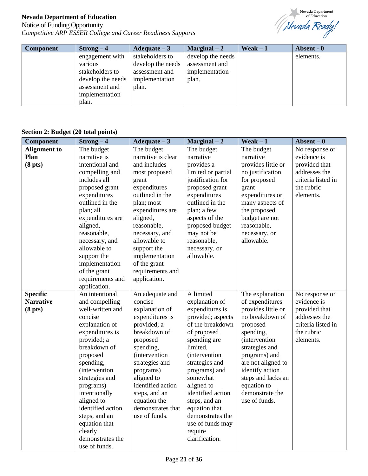# Notice of Funding Opportunity *Competitive ARP ESSER College and Career Readiness Supports*



| <b>Component</b> | $Strong-4$        | Adequate $-3$     | $Marginal-2$      | Weak $-1$ | Absent - 0 |
|------------------|-------------------|-------------------|-------------------|-----------|------------|
|                  | engagement with   | stakeholders to   | develop the needs |           | elements.  |
|                  | various           | develop the needs | assessment and    |           |            |
|                  | stakeholders to   | assessment and    | implementation    |           |            |
|                  | develop the needs | implementation    | plan.             |           |            |
|                  | assessment and    | plan.             |                   |           |            |
|                  | implementation    |                   |                   |           |            |
|                  | plan.             |                   |                   |           |            |

#### **Section 2: Budget (20 total points)**

| Component           | $Strong-4$            | Adequate $-3$         | $Marginal-2$          | $Weak - 1$            | $ Absent – 0$      |
|---------------------|-----------------------|-----------------------|-----------------------|-----------------------|--------------------|
| <b>Alignment</b> to | The budget            | The budget            | The budget            | The budget            | No response or     |
| Plan                | narrative is          | narrative is clear    | narrative             | narrative             | evidence is        |
| (8 <sub>pts</sub> ) | intentional and       | and includes          | provides a            | provides little or    | provided that      |
|                     | compelling and        | most proposed         | limited or partial    | no justification      | addresses the      |
|                     | includes all          | grant                 | justification for     | for proposed          | criteria listed in |
|                     | proposed grant        | expenditures          | proposed grant        | grant                 | the rubric         |
|                     | expenditures          | outlined in the       | expenditures          | expenditures or       | elements.          |
|                     | outlined in the       | plan; most            | outlined in the       | many aspects of       |                    |
|                     | plan; all             | expenditures are      | plan; a few           | the proposed          |                    |
|                     | expenditures are      | aligned,              | aspects of the        | budget are not        |                    |
|                     | aligned,              | reasonable,           | proposed budget       | reasonable,           |                    |
|                     | reasonable,           | necessary, and        | may not be            | necessary, or         |                    |
|                     | necessary, and        | allowable to          | reasonable,           | allowable.            |                    |
|                     | allowable to          | support the           | necessary, or         |                       |                    |
|                     | support the           | implementation        | allowable.            |                       |                    |
|                     | implementation        | of the grant          |                       |                       |                    |
|                     | of the grant          | requirements and      |                       |                       |                    |
|                     | requirements and      | application.          |                       |                       |                    |
|                     | application.          |                       |                       |                       |                    |
| <b>Specific</b>     | An intentional        | An adequate and       | A limited             | The explanation       | No response or     |
| <b>Narrative</b>    | and compelling        | concise               | explanation of        | of expenditures       | evidence is        |
| (8 <sub>pts</sub> ) | well-written and      | explanation of        | expenditures is       | provides little or    | provided that      |
|                     | concise               | expenditures is       | provided; aspects     | no breakdown of       | addresses the      |
|                     | explanation of        | provided; a           | of the breakdown      | proposed              | criteria listed in |
|                     | expenditures is       | breakdown of          | of proposed           | spending,             | the rubric         |
|                     | provided; a           | proposed              | spending are          | <i>(intervention)</i> | elements.          |
|                     | breakdown of          | spending,             | limited,              | strategies and        |                    |
|                     | proposed              | <i>(intervention)</i> | <i>(intervention)</i> | programs) and         |                    |
|                     | spending,             | strategies and        | strategies and        | are not aligned to    |                    |
|                     | <i>(intervention)</i> | programs)             | programs) and         | identify action       |                    |
|                     | strategies and        | aligned to            | somewhat              | steps and lacks an    |                    |
|                     | programs)             | identified action     | aligned to            | equation to           |                    |
|                     | intentionally         | steps, and an         | identified action     | demonstrate the       |                    |
|                     | aligned to            | equation the          | steps, and an         | use of funds.         |                    |
|                     | identified action     | demonstrates that     | equation that         |                       |                    |
|                     | steps, and an         | use of funds.         | demonstrates the      |                       |                    |
|                     | equation that         |                       | use of funds may      |                       |                    |
|                     | clearly               |                       | require               |                       |                    |
|                     | demonstrates the      |                       | clarification.        |                       |                    |
|                     | use of funds.         |                       |                       |                       |                    |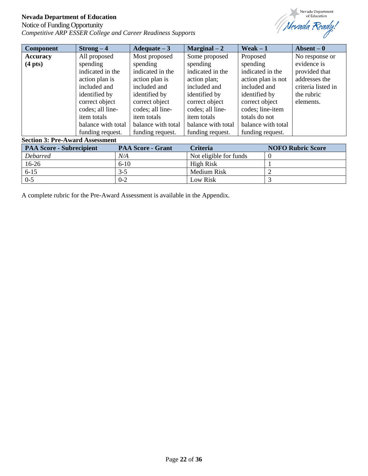# Notice of Funding Opportunity *Competitive ARP ESSER College and Career Readiness Supports*



| <b>Component</b>                       | $Strong-4$         | Adequate $-3$      | Marginal $-2$      | Weak $-1$          | Absent $-0$        |
|----------------------------------------|--------------------|--------------------|--------------------|--------------------|--------------------|
| <b>Accuracy</b>                        | All proposed       | Most proposed      | Some proposed      | Proposed           | No response or     |
| $(4 \text{ pts})$                      | spending           | spending           | spending           | spending           | evidence is        |
|                                        | indicated in the   | indicated in the   | indicated in the   | indicated in the   | provided that      |
|                                        | action plan is     | action plan is     | action plan;       | action plan is not | addresses the      |
|                                        | included and       | included and       | included and       | included and       | criteria listed in |
|                                        | identified by      | identified by      | identified by      | identified by      | the rubric         |
|                                        | correct object     | correct object     | correct object     | correct object     | elements.          |
|                                        | codes; all line-   | codes; all line-   | codes; all line-   | codes; line-item   |                    |
|                                        | <i>item totals</i> | <i>item totals</i> | <i>item totals</i> | totals do not      |                    |
|                                        | balance with total | balance with total | balance with total | balance with total |                    |
|                                        | funding request.   | funding request.   | funding request.   | funding request.   |                    |
| <b>Section 3: Pre-Award Assessment</b> |                    |                    |                    |                    |                    |

| <b>PAA Score - Subrecipient</b> | <b>PAA Score - Grant</b> | <b>Criteria</b>        | <b>NOFO Rubric Score</b> |
|---------------------------------|--------------------------|------------------------|--------------------------|
| <b>Debarred</b>                 | N/A                      | Not eligible for funds |                          |
| 16-26                           | $6-10$                   | High Risk              |                          |
| $6 - 15$                        | $3-5$                    | Medium Risk            |                          |
| $0 - 5$                         | $0 - 2$                  | Low Risk               |                          |

A complete rubric for the Pre-Award Assessment is available in the Appendix.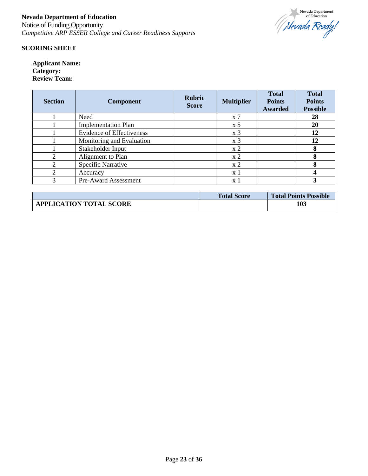

#### **SCORING SHEET**

**Applicant Name: Category: Review Team:**

| <b>Section</b> | <b>Component</b>                 | <b>Rubric</b><br><b>Score</b> | <b>Multiplier</b>  | <b>Total</b><br><b>Points</b><br>Awarded | <b>Total</b><br><b>Points</b><br><b>Possible</b> |
|----------------|----------------------------------|-------------------------------|--------------------|------------------------------------------|--------------------------------------------------|
|                | Need                             |                               | $\boldsymbol{x}$ 7 |                                          | 28                                               |
|                | <b>Implementation Plan</b>       |                               | x <sub>5</sub>     |                                          | 20                                               |
|                | <b>Evidence of Effectiveness</b> |                               | x <sub>3</sub>     |                                          | 12                                               |
|                | Monitoring and Evaluation        |                               | x <sub>3</sub>     |                                          | 12                                               |
|                | Stakeholder Input                |                               | x <sub>2</sub>     |                                          | 8                                                |
| っ              | Alignment to Plan                |                               | x <sub>2</sub>     |                                          | 8                                                |
| ∍              | <b>Specific Narrative</b>        |                               | x <sub>2</sub>     |                                          | 8                                                |
| ∍              | Accuracy                         |                               | $\mathbf{x}$ 1     |                                          |                                                  |
| 3              | Pre-Award Assessment             |                               | x 1                |                                          |                                                  |

|                                | <b>Total Score</b> | <b>Total Points Possible</b> |
|--------------------------------|--------------------|------------------------------|
| <b>APPLICATION TOTAL SCORE</b> |                    | 103                          |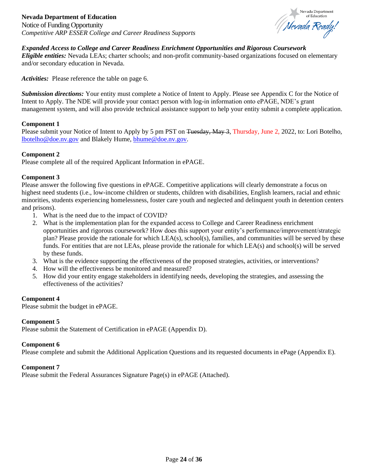Notice of Funding Opportunity *Competitive ARP ESSER College and Career Readiness Supports*



# <span id="page-23-0"></span>*Expanded Access to College and Career Readiness Enrichment Opportunities and Rigorous Coursework*

*Eligible entities:* Nevada LEAs; charter schools; and non-profit community-based organizations focused on elementary and/or secondary education in Nevada.

*Activities:* Please reference the table on page 6.

*Submission directions:* Your entity must complete a Notice of Intent to Apply. Please see Appendix C for the Notice of Intent to Apply. The NDE will provide your contact person with log-in information onto ePAGE, NDE's grant management system, and will also provide technical assistance support to help your entity submit a complete application.

#### **Component 1**

Please submit your Notice of Intent to Apply by 5 pm PST on Tuesday, May 3, Thursday, June 2, 2022, to: Lori Botelho, [lbotelho@doe.nv.gov](mailto:lbotelho@doe.nv.gov) and Blakely Hume, [bhume@doe.nv.gov.](mailto:bhume@doe.nv.gov)

#### **Component 2**

Please complete all of the required Applicant Information in ePAGE.

#### **Component 3**

Please answer the following five questions in ePAGE. Competitive applications will clearly demonstrate a focus on highest need students (i.e., low-income children or students, children with disabilities, English learners, racial and ethnic minorities, students experiencing homelessness, foster care youth and neglected and delinquent youth in detention centers and prisons).

- 1. What is the need due to the impact of COVID?
- 2. What is the implementation plan for the expanded access to College and Career Readiness enrichment opportunities and rigorous coursework? How does this support your entity's performance/improvement/strategic plan? Please provide the rationale for which LEA(s), school(s), families, and communities will be served by these funds. For entities that are not LEAs, please provide the rationale for which LEA(s) and school(s) will be served by these funds.
- 3. What is the evidence supporting the effectiveness of the proposed strategies, activities, or interventions?
- 4. How will the effectiveness be monitored and measured?
- 5. How did your entity engage stakeholders in identifying needs, developing the strategies, and assessing the effectiveness of the activities?

#### **Component 4**

Please submit the budget in ePAGE.

#### **Component 5**

Please submit the Statement of Certification in ePAGE (Appendix D).

#### **Component 6**

Please complete and submit the Additional Application Questions and its requested documents in ePage (Appendix E).

#### **Component 7**

Please submit the Federal Assurances Signature Page(s) in ePAGE (Attached).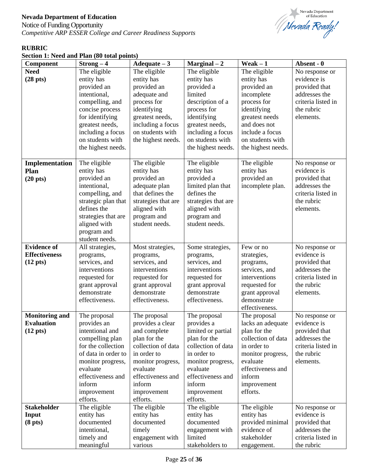Notice of Funding Opportunity *Competitive ARP ESSER College and Career Readiness Supports*



# **RUBRIC**

| Section 1: Need and Plan (80 total points) |  |  |  |  |  |  |  |  |
|--------------------------------------------|--|--|--|--|--|--|--|--|
|--------------------------------------------|--|--|--|--|--|--|--|--|

| <b>Component</b>      | $Strong-4$                 | $A dequate - 3$            | $Marginal-2$               | Weak $-1$                | Absent - 0                    |
|-----------------------|----------------------------|----------------------------|----------------------------|--------------------------|-------------------------------|
| <b>Need</b>           | The eligible               | The eligible               | The eligible               | The eligible             | No response or                |
| $(28 \text{ pts})$    | entity has                 | entity has                 | entity has                 | entity has               | evidence is                   |
|                       | provided an                | provided an                | provided a                 | provided an              | provided that                 |
|                       | intentional,               | adequate and               | limited                    | incomplete               | addresses the                 |
|                       | compelling, and            | process for                | description of a           | process for              | criteria listed in            |
|                       | concise process            | identifying                | process for                | identifying              | the rubric                    |
|                       | for identifying            | greatest needs,            | identifying                | greatest needs           | elements.                     |
|                       | greatest needs,            | including a focus          | greatest needs,            | and does not             |                               |
|                       | including a focus          | on students with           | including a focus          | include a focus          |                               |
|                       | on students with           | the highest needs.         | on students with           | on students with         |                               |
|                       | the highest needs.         |                            | the highest needs.         | the highest needs.       |                               |
|                       |                            |                            |                            |                          |                               |
| Implementation        | The eligible               | The eligible               | The eligible               | The eligible             | No response or                |
| Plan                  | entity has                 | entity has                 | entity has                 | entity has               | evidence is                   |
| $(20 \text{ pts})$    | provided an                | provided an                | provided a                 | provided an              | provided that                 |
|                       | intentional,               | adequate plan              | limited plan that          | incomplete plan.         | addresses the                 |
|                       | compelling, and            | that defines the           | defines the                |                          | criteria listed in            |
|                       | strategic plan that        | strategies that are        | strategies that are        |                          | the rubric                    |
|                       | defines the                | aligned with               | aligned with               |                          | elements.                     |
|                       | strategies that are        | program and                | program and                |                          |                               |
|                       | aligned with               | student needs.             | student needs.             |                          |                               |
|                       | program and                |                            |                            |                          |                               |
| <b>Evidence of</b>    | student needs.             |                            |                            | Few or no                |                               |
| <b>Effectiveness</b>  | All strategies,            | Most strategies,           | Some strategies,           |                          | No response or<br>evidence is |
| $(12 \text{ pts})$    | programs,<br>services, and | programs,<br>services, and | programs,<br>services, and | strategies,<br>programs, | provided that                 |
|                       | interventions              | interventions              | interventions              | services, and            | addresses the                 |
|                       | requested for              | requested for              | requested for              | interventions            | criteria listed in            |
|                       | grant approval             | grant approval             | grant approval             | requested for            | the rubric                    |
|                       | demonstrate                | demonstrate                | demonstrate                | grant approval           | elements.                     |
|                       | effectiveness.             | effectiveness.             | effectiveness.             | demonstrate              |                               |
|                       |                            |                            |                            | effectiveness.           |                               |
| <b>Monitoring and</b> | The proposal               | The proposal               | The proposal               | The proposal             | No response or                |
| <b>Evaluation</b>     | provides an                | provides a clear           | provides a                 | lacks an adequate        | evidence is                   |
| $(12 \text{ pts})$    | intentional and            | and complete               | limited or partial         | plan for the             | provided that                 |
|                       | compelling plan            | plan for the               | plan for the               | collection of data       | addresses the                 |
|                       | for the collection         | collection of data         | collection of data         | in order to              | criteria listed in            |
|                       | of data in order to        | in order to                | in order to                | monitor progress,        | the rubric                    |
|                       | monitor progress,          | monitor progress,          | monitor progress,          | evaluate                 | elements.                     |
|                       | evaluate                   | evaluate                   | evaluate                   | effectiveness and        |                               |
|                       | effectiveness and          | effectiveness and          | effectiveness and          | inform                   |                               |
|                       | inform                     | inform                     | inform                     | improvement              |                               |
|                       | improvement                | improvement                | improvement                | efforts.                 |                               |
|                       | efforts.                   | efforts.                   | efforts.                   |                          |                               |
| <b>Stakeholder</b>    | The eligible               | The eligible               | The eligible               | The eligible             | No response or                |
| Input                 | entity has                 | entity has                 | entity has                 | entity has               | evidence is                   |
| (8 <sub>pts</sub> )   | documented                 | documented                 | documented                 | provided minimal         | provided that                 |
|                       | intentional,               | timely                     | engagement with            | evidence of              | addresses the                 |
|                       | timely and                 | engagement with            | limited                    | stakeholder              | criteria listed in            |
|                       | meaningful                 | various                    | stakeholders to            | engagement.              | the rubric                    |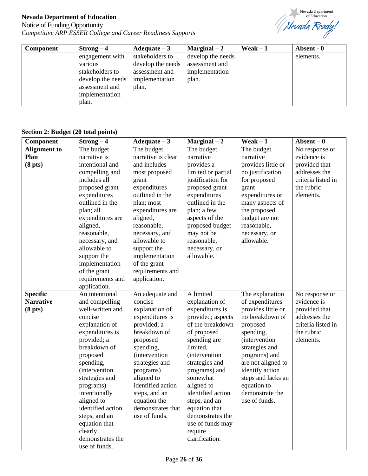# Notice of Funding Opportunity *Competitive ARP ESSER College and Career Readiness Supports*



| <b>Component</b> | $Strong-4$        | Adequate $-3$     | $Marginal-2$      | Weak $-1$ | Absent - 0 |
|------------------|-------------------|-------------------|-------------------|-----------|------------|
|                  | engagement with   | stakeholders to   | develop the needs |           | elements.  |
|                  | various           | develop the needs | assessment and    |           |            |
|                  | stakeholders to   | assessment and    | implementation    |           |            |
|                  | develop the needs | implementation    | plan.             |           |            |
|                  | assessment and    | plan.             |                   |           |            |
|                  | implementation    |                   |                   |           |            |
|                  | plan.             |                   |                   |           |            |

#### **Section 2: Budget (20 total points)**

| Component           | $Strong-4$            | $A dequate - 3$       | $Marginal-2$          | $Weak - 1$            | $ Absent – 0$      |
|---------------------|-----------------------|-----------------------|-----------------------|-----------------------|--------------------|
| <b>Alignment</b> to | The budget            | The budget            | The budget            | The budget            | No response or     |
| Plan                | narrative is          | narrative is clear    | narrative             | narrative             | evidence is        |
| (8 <sub>pts</sub> ) | intentional and       | and includes          | provides a            | provides little or    | provided that      |
|                     | compelling and        | most proposed         | limited or partial    | no justification      | addresses the      |
|                     | includes all          | grant                 | justification for     | for proposed          | criteria listed in |
|                     | proposed grant        | expenditures          | proposed grant        | grant                 | the rubric         |
|                     | expenditures          | outlined in the       | expenditures          | expenditures or       | elements.          |
|                     | outlined in the       | plan; most            | outlined in the       | many aspects of       |                    |
|                     | plan; all             | expenditures are      | plan; a few           | the proposed          |                    |
|                     | expenditures are      | aligned,              | aspects of the        | budget are not        |                    |
|                     | aligned,              | reasonable,           | proposed budget       | reasonable,           |                    |
|                     | reasonable,           | necessary, and        | may not be            | necessary, or         |                    |
|                     | necessary, and        | allowable to          | reasonable,           | allowable.            |                    |
|                     | allowable to          | support the           | necessary, or         |                       |                    |
|                     | support the           | implementation        | allowable.            |                       |                    |
|                     | implementation        | of the grant          |                       |                       |                    |
|                     | of the grant          | requirements and      |                       |                       |                    |
|                     | requirements and      | application.          |                       |                       |                    |
|                     | application.          |                       |                       |                       |                    |
| <b>Specific</b>     | An intentional        | An adequate and       | A limited             | The explanation       | No response or     |
| <b>Narrative</b>    | and compelling        | concise               | explanation of        | of expenditures       | evidence is        |
| (8 <sub>pts</sub> ) | well-written and      | explanation of        | expenditures is       | provides little or    | provided that      |
|                     | concise               | expenditures is       | provided; aspects     | no breakdown of       | addresses the      |
|                     | explanation of        | provided; a           | of the breakdown      | proposed              | criteria listed in |
|                     | expenditures is       | breakdown of          | of proposed           | spending,             | the rubric         |
|                     | provided; a           | proposed              | spending are          | <i>(intervention)</i> | elements.          |
|                     | breakdown of          | spending,             | limited,              | strategies and        |                    |
|                     | proposed              | <i>(intervention)</i> | <i>(intervention)</i> | programs) and         |                    |
|                     | spending,             | strategies and        | strategies and        | are not aligned to    |                    |
|                     | <i>(intervention)</i> | programs)             | programs) and         | identify action       |                    |
|                     | strategies and        | aligned to            | somewhat              | steps and lacks an    |                    |
|                     | programs)             | identified action     | aligned to            | equation to           |                    |
|                     | intentionally         | steps, and an         | identified action     | demonstrate the       |                    |
|                     | aligned to            | equation the          | steps, and an         | use of funds.         |                    |
|                     | identified action     | demonstrates that     | equation that         |                       |                    |
|                     | steps, and an         | use of funds.         | demonstrates the      |                       |                    |
|                     | equation that         |                       | use of funds may      |                       |                    |
|                     | clearly               |                       | require               |                       |                    |
|                     | demonstrates the      |                       | clarification.        |                       |                    |
|                     | use of funds.         |                       |                       |                       |                    |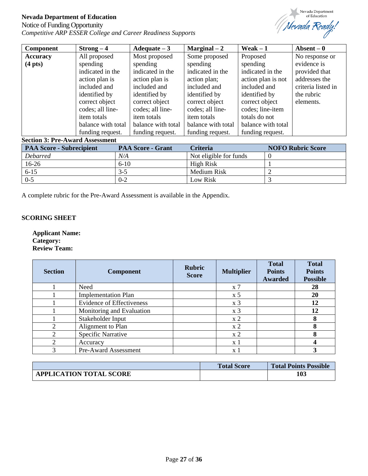# Notice of Funding Opportunity *Competitive ARP ESSER College and Career Readiness Supports*



| <b>Component</b>  | $Strong-4$         | Adequate $-3$      | Marginal $-2$      | Weak $-1$          | Absent $-0$        |
|-------------------|--------------------|--------------------|--------------------|--------------------|--------------------|
| <b>Accuracy</b>   | All proposed       | Most proposed      | Some proposed      | Proposed           | No response or     |
| $(4 \text{ pts})$ | spending           | spending           | spending           | spending           | evidence is        |
|                   | indicated in the   | indicated in the   | indicated in the   | indicated in the   | provided that      |
|                   | action plan is     | action plan is     | action plan;       | action plan is not | addresses the      |
|                   | included and       | included and       | included and       | included and       | criteria listed in |
|                   | identified by      | identified by      | identified by      | identified by      | the rubric         |
|                   | correct object     | correct object     | correct object     | correct object     | elements.          |
|                   | codes; all line-   | codes; all line-   | codes; all line-   | codes; line-item   |                    |
|                   | item totals        | <i>item totals</i> | item totals        | totals do not      |                    |
|                   | balance with total | balance with total | balance with total | balance with total |                    |
|                   | funding request.   | funding request.   | funding request.   | funding request.   |                    |

#### **Section 3: Pre-Award Assessment**

| <b>PAA Score - Subrecipient</b> | <b>PAA Score - Grant</b> | <b>Criteria</b>        | <b>NOFO Rubric Score</b> |
|---------------------------------|--------------------------|------------------------|--------------------------|
| <b>Debarred</b>                 | N/A                      | Not eligible for funds |                          |
| 16-26                           | $6-10$                   | High Risk              |                          |
| $6 - 15$                        | $3-5$                    | Medium Risk            |                          |
| $0 - 5$                         | $0 - 2$                  | Low Risk               |                          |

A complete rubric for the Pre-Award Assessment is available in the Appendix.

# **SCORING SHEET**

**Applicant Name: Category: Review Team:**

| <b>Section</b> | <b>Component</b>                 | <b>Rubric</b><br><b>Score</b> | <b>Multiplier</b> | <b>Total</b><br><b>Points</b><br>Awarded | <b>Total</b><br><b>Points</b><br><b>Possible</b> |
|----------------|----------------------------------|-------------------------------|-------------------|------------------------------------------|--------------------------------------------------|
|                | Need                             |                               | $x \, 7$          |                                          | 28                                               |
|                | <b>Implementation Plan</b>       |                               | $\rm x 5$         |                                          | 20                                               |
|                | <b>Evidence of Effectiveness</b> |                               | x <sub>3</sub>    |                                          | 12                                               |
|                | Monitoring and Evaluation        |                               | x <sub>3</sub>    |                                          | 12                                               |
|                | Stakeholder Input                |                               | x <sub>2</sub>    |                                          | 8                                                |
| $\gamma$       | Alignment to Plan                |                               | x <sub>2</sub>    |                                          | 8                                                |
|                | Specific Narrative               |                               | x2                |                                          |                                                  |
|                | Accuracy                         |                               | x 1               |                                          |                                                  |
| ◠              | Pre-Award Assessment             |                               | x l               |                                          |                                                  |

|                                | <b>Total Score</b> | <b>Total Points Possible</b> |
|--------------------------------|--------------------|------------------------------|
| <b>APPLICATION TOTAL SCORE</b> |                    | 103                          |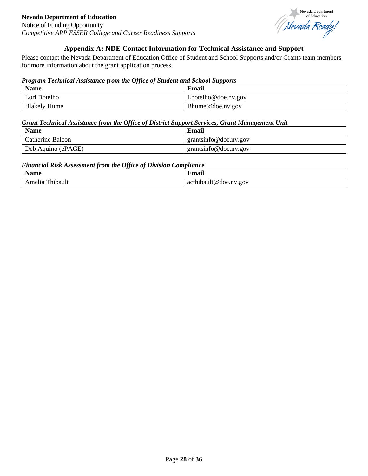Nevada Department Nevada Department

# **Appendix A: NDE Contact Information for Technical Assistance and Support**

<span id="page-27-0"></span>Please contact the Nevada Department of Education Office of Student and School Supports and/or Grants team members for more information about the grant application process.

#### *Program Technical Assistance from the Office of Student and School Supports*

| <b>Name</b>         | Email                   |
|---------------------|-------------------------|
| Lori Botelho        | $Lbotelho @$ doe.nv.gov |
| <b>Blakely Hume</b> | Bhume@doe.nv.gov        |

#### *Grant Technical Assistance from the Office of District Support Services, Grant Management Unit*

| <b>Name</b>        | Email                 |
|--------------------|-----------------------|
| Catherine Balcon   | grantsinfo@doe.nv.gov |
| Deb Aquino (ePAGE) | grantsinfo@doe.nv.gov |

#### *Financial Risk Assessment from the Office of Division Compliance*

| <br><b>Name</b>     | $\bullet$<br>⊿`m∩∩i`<br>nan |
|---------------------|-----------------------------|
| l'hibault<br>Amelia | thibault@doe.nv.gov:<br>act |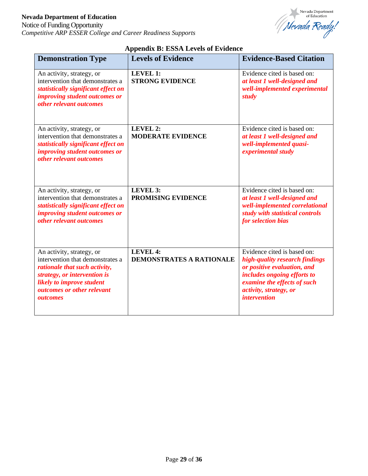Notice of Funding Opportunity *Competitive ARP ESSER College and Career Readiness Supports*



# **Appendix B: ESSA Levels of Evidence**

<span id="page-28-0"></span>

| <b>Demonstration Type</b>                                                                                                                                                                             | <b>Levels of Evidence</b>                          | <b>Evidence-Based Citation</b>                                                                                                                                                                                     |
|-------------------------------------------------------------------------------------------------------------------------------------------------------------------------------------------------------|----------------------------------------------------|--------------------------------------------------------------------------------------------------------------------------------------------------------------------------------------------------------------------|
| An activity, strategy, or<br>intervention that demonstrates a<br>statistically significant effect on<br>improving student outcomes or<br>other relevant outcomes                                      | <b>LEVEL 1:</b><br><b>STRONG EVIDENCE</b>          | Evidence cited is based on:<br>at least 1 well-designed and<br>well-implemented experimental<br>study                                                                                                              |
| An activity, strategy, or<br>intervention that demonstrates a<br>statistically significant effect on<br>improving student outcomes or<br>other relevant outcomes                                      | <b>LEVEL 2:</b><br><b>MODERATE EVIDENCE</b>        | Evidence cited is based on:<br>at least 1 well-designed and<br>well-implemented quasi-<br>experimental study                                                                                                       |
| An activity, strategy, or<br>intervention that demonstrates a<br>statistically significant effect on<br><i>improving student outcomes or</i><br>other relevant outcomes                               | <b>LEVEL 3:</b><br><b>PROMISING EVIDENCE</b>       | Evidence cited is based on:<br>at least 1 well-designed and<br>well-implemented correlational<br>study with statistical controls<br>for selection bias                                                             |
| An activity, strategy, or<br>intervention that demonstrates a<br>rationale that such activity,<br>strategy, or intervention is<br>likely to improve student<br>outcomes or other relevant<br>outcomes | <b>LEVEL 4:</b><br><b>DEMONSTRATES A RATIONALE</b> | Evidence cited is based on:<br>high-quality research findings<br>or positive evaluation, and<br>includes ongoing efforts to<br>examine the effects of such<br><i>activity, strategy, or</i><br><i>intervention</i> |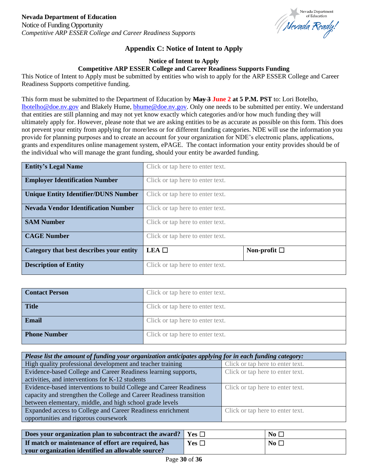

# **Appendix C: Notice of Intent to Apply**

#### **Notice of Intent to Apply**

#### **Competitive ARP ESSER College and Career Readiness Supports Funding**

<span id="page-29-0"></span>This Notice of Intent to Apply must be submitted by entities who wish to apply for the ARP ESSER College and Career Readiness Supports competitive funding.

This form must be submitted to the Department of Education by **May 3 June 2 at 5 P.M. PST** to: Lori Botelho, [lbotelho@doe.nv.gov](mailto:lbotelho@doe.nv.gov) and Blakely Hume, [bhume@doe.nv.gov.](mailto:bhume@doe.nv.gov) Only one needs to be submitted per entity. We understand that entities are still planning and may not yet know exactly which categories and/or how much funding they will ultimately apply for. However, please note that we are asking entities to be as accurate as possible on this form. This does not prevent your entity from applying for more/less or for different funding categories. NDE will use the information you provide for planning purposes and to create an account for your organization for NDE's electronic plans, applications, grants and expenditures online management system, ePAGE. The contact information your entity provides should be of the individual who will manage the grant funding, should your entity be awarded funding.

| <b>Entity's Legal Name</b>                  | Click or tap here to enter text. |                      |
|---------------------------------------------|----------------------------------|----------------------|
| <b>Employer Identification Number</b>       | Click or tap here to enter text. |                      |
| <b>Unique Entity Identifier/DUNS Number</b> | Click or tap here to enter text. |                      |
| <b>Nevada Vendor Identification Number</b>  | Click or tap here to enter text. |                      |
| <b>SAM Number</b>                           | Click or tap here to enter text. |                      |
| <b>CAGE Number</b>                          | Click or tap here to enter text. |                      |
| Category that best describes your entity    | $LEA$ $\square$                  | Non-profit $\square$ |
| <b>Description of Entity</b>                | Click or tap here to enter text. |                      |

| <b>Contact Person</b> | Click or tap here to enter text. |
|-----------------------|----------------------------------|
| <b>Title</b>          | Click or tap here to enter text. |
| Email                 | Click or tap here to enter text. |
| <b>Phone Number</b>   | Click or tap here to enter text. |

| Please list the amount of funding your organization anticipates applying for in each funding category: |                                  |  |
|--------------------------------------------------------------------------------------------------------|----------------------------------|--|
| High quality professional development and teacher training                                             | Click or tap here to enter text. |  |
| Evidence-based College and Career Readiness learning supports,                                         | Click or tap here to enter text. |  |
| activities, and interventions for K-12 students                                                        |                                  |  |
| Evidence-based interventions to build College and Career Readiness                                     | Click or tap here to enter text. |  |
| capacity and strengthen the College and Career Readiness transition                                    |                                  |  |
| between elementary, middle, and high school grade levels                                               |                                  |  |
| Expanded access to College and Career Readiness enrichment                                             | Click or tap here to enter text. |  |
| opportunities and rigorous coursework                                                                  |                                  |  |

| Does your organization plan to subcontract the award? | $\mathbf{V}$ es $\Box$ | No $\Box$    |
|-------------------------------------------------------|------------------------|--------------|
| If match or maintenance of effort are required, has   | Yes $\Box$             | No $\square$ |
| your organization identified an allowable source?     |                        |              |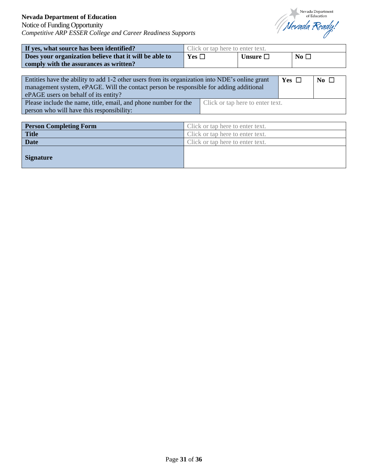

| If yes, what source has been identified?               | Click or tap here to enter text. |               |                         |
|--------------------------------------------------------|----------------------------------|---------------|-------------------------|
| Does your organization believe that it will be able to | Yes $\Box$                       | Unsure $\Box$ | $\overline{N_0}$ $\Box$ |
| comply with the assurances as written?                 |                                  |               |                         |

| Entities have the ability to add 1-2 other users from its organization into NDE's online grant<br>Yes $\Box$<br>management system, ePAGE. Will the contact person be responsible for adding additional<br>ePAGE users on behalf of its entity? |  |  | $\overline{N_0}$ $\Box$ |  |
|------------------------------------------------------------------------------------------------------------------------------------------------------------------------------------------------------------------------------------------------|--|--|-------------------------|--|
| Please include the name, title, email, and phone number for the<br>Click or tap here to enter text.<br>person who will have this responsibility:                                                                                               |  |  |                         |  |

| <b>Person Completing Form</b> | Click or tap here to enter text. |
|-------------------------------|----------------------------------|
| <b>Title</b>                  | Click or tap here to enter text. |
| <b>Date</b>                   | Click or tap here to enter text. |
| <b>Signature</b>              |                                  |
|                               |                                  |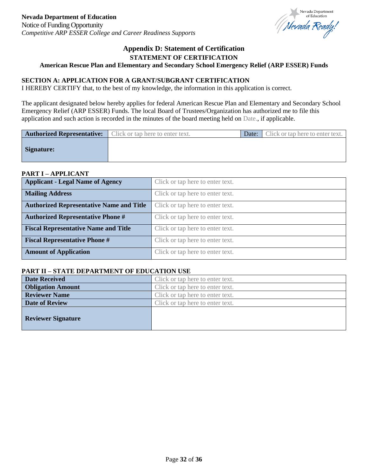

# **Appendix D: Statement of Certification STATEMENT OF CERTIFICATION**

#### <span id="page-31-0"></span>**American Rescue Plan and Elementary and Secondary School Emergency Relief (ARP ESSER) Funds**

#### **SECTION A: APPLICATION FOR A GRANT/SUBGRANT CERTIFICATION**

I HEREBY CERTIFY that, to the best of my knowledge, the information in this application is correct.

The applicant designated below hereby applies for federal American Rescue Plan and Elementary and Secondary School Emergency Relief (ARP ESSER) Funds. The local Board of Trustees/Organization has authorized me to file this application and such action is recorded in the minutes of the board meeting held on Date., if applicable.

| <b>Authorized Representative:</b> Click or tap here to enter text. |  | <b>Date:</b> Click or tap here to enter text. |
|--------------------------------------------------------------------|--|-----------------------------------------------|
| <b>Signature:</b>                                                  |  |                                               |

#### **PART I – APPLICANT**

| <b>Applicant - Legal Name of Agency</b>         | Click or tap here to enter text. |
|-------------------------------------------------|----------------------------------|
| <b>Mailing Address</b>                          | Click or tap here to enter text. |
| <b>Authorized Representative Name and Title</b> | Click or tap here to enter text. |
| <b>Authorized Representative Phone #</b>        | Click or tap here to enter text. |
| <b>Fiscal Representative Name and Title</b>     | Click or tap here to enter text. |
| <b>Fiscal Representative Phone #</b>            | Click or tap here to enter text. |
| <b>Amount of Application</b>                    | Click or tap here to enter text. |

#### **PART II – STATE DEPARTMENT OF EDUCATION USE**

| <b>Date Received</b>      | Click or tap here to enter text. |
|---------------------------|----------------------------------|
| <b>Obligation Amount</b>  | Click or tap here to enter text. |
| <b>Reviewer Name</b>      | Click or tap here to enter text. |
| Date of Review            | Click or tap here to enter text. |
| <b>Reviewer Signature</b> |                                  |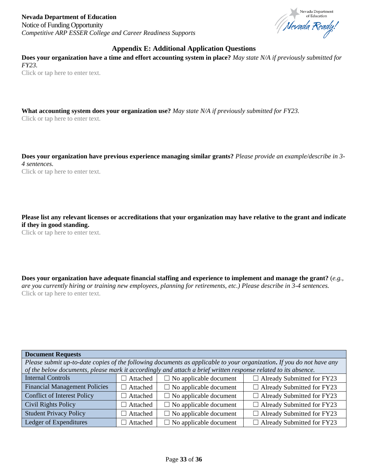

# **Appendix E: Additional Application Questions**

<span id="page-32-0"></span>**Does your organization have a time and effort accounting system in place?** *May state N/A if previously submitted for FY23.*  Click or tap here to enter text.

**What accounting system does your organization use?** *May state N/A if previously submitted for FY23.*

Click or tap here to enter text.

**Does your organization have previous experience managing similar grants?** *Please provide an example/describe in 3- 4 sentences.*  Click or tap here to enter text.

**Please list any relevant licenses or accreditations that your organization may have relative to the grant and indicate if they in good standing.**

Click or tap here to enter text.

**Does your organization have adequate financial staffing and experience to implement and manage the grant?** (*e.g., are you currently hiring or training new employees, planning for retirements, etc.) Please describe in 3-4 sentences.* Click or tap here to enter text.

| <b>Document Requests</b>                                                                                              |                                      |                               |                                   |
|-----------------------------------------------------------------------------------------------------------------------|--------------------------------------|-------------------------------|-----------------------------------|
| Please submit up-to-date copies of the following documents as applicable to your organization. If you do not have any |                                      |                               |                                   |
| of the below documents, please mark it accordingly and attach a brief written response related to its absence.        |                                      |                               |                                   |
| <b>Internal Controls</b>                                                                                              | Attached                             | $\Box$ No applicable document | $\Box$ Already Submitted for FY23 |
| <b>Financial Management Policies</b>                                                                                  | Attached<br>$\Box$                   | $\Box$ No applicable document | $\Box$ Already Submitted for FY23 |
| <b>Conflict of Interest Policy</b>                                                                                    | Attached<br>$\overline{\phantom{a}}$ | $\Box$ No applicable document | $\Box$ Already Submitted for FY23 |
| <b>Civil Rights Policy</b>                                                                                            | Attached<br>$\overline{\phantom{a}}$ | $\Box$ No applicable document | $\Box$ Already Submitted for FY23 |
| <b>Student Privacy Policy</b>                                                                                         | Attached                             | $\Box$ No applicable document | $\Box$ Already Submitted for FY23 |
| Ledger of Expenditures                                                                                                | Attached                             | $\Box$ No applicable document | $\Box$ Already Submitted for FY23 |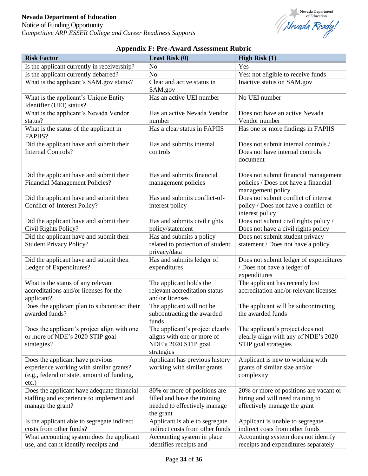

<span id="page-33-0"></span>

| <b>Risk Factor</b>                                                               | Least Risk (0)                                               | High Risk $(1)$                                                              |
|----------------------------------------------------------------------------------|--------------------------------------------------------------|------------------------------------------------------------------------------|
| Is the applicant currently in receivership?                                      | N <sub>o</sub>                                               | Yes                                                                          |
| Is the applicant currently debarred?                                             | N <sub>o</sub>                                               | Yes: not eligible to receive funds                                           |
| What is the applicant's SAM.gov status?                                          | Clear and active status in                                   | Inactive status on SAM.gov                                                   |
|                                                                                  | SAM.gov                                                      |                                                                              |
| What is the applicant's Unique Entity                                            | Has an active UEI number                                     | No UEI number                                                                |
| Identifier (UEI) status?                                                         |                                                              |                                                                              |
| What is the applicant's Nevada Vendor                                            | Has an active Nevada Vendor                                  | Does not have an active Nevada                                               |
| status?                                                                          | number                                                       | Vendor number                                                                |
| What is the status of the applicant in                                           | Has a clear status in FAPIIS                                 | Has one or more findings in FAPIIS                                           |
| FAPIIS?                                                                          |                                                              |                                                                              |
| Did the applicant have and submit their                                          | Has and submits internal                                     | Does not submit internal controls /                                          |
| Internal Controls?                                                               | controls                                                     | Does not have internal controls                                              |
|                                                                                  |                                                              | document                                                                     |
|                                                                                  | Has and submits financial                                    |                                                                              |
| Did the applicant have and submit their<br><b>Financial Management Policies?</b> | management policies                                          | Does not submit financial management<br>policies / Does not have a financial |
|                                                                                  |                                                              | management policy                                                            |
| Did the applicant have and submit their                                          | Has and submits conflict-of-                                 | Does not submit conflict of interest                                         |
| Conflict-of-Interest Policy?                                                     | interest policy                                              | policy / Does not have a conflict-of-                                        |
|                                                                                  |                                                              | interest policy                                                              |
| Did the applicant have and submit their                                          | Has and submits civil rights                                 | Does not submit civil rights policy /                                        |
| Civil Rights Policy?                                                             | policy/statement                                             | Does not have a civil rights policy                                          |
| Did the applicant have and submit their                                          | Has and submits a policy                                     | Does not submit student privacy                                              |
| <b>Student Privacy Policy?</b>                                                   | related to protection of student                             | statement / Does not have a policy                                           |
|                                                                                  | privacy/data                                                 |                                                                              |
| Did the applicant have and submit their                                          | Has and submits ledger of                                    | Does not submit ledger of expenditures                                       |
| Ledger of Expenditures?                                                          | expenditures                                                 | / Does not have a ledger of                                                  |
|                                                                                  |                                                              | expenditures                                                                 |
| What is the status of any relevant<br>accreditations and/or licenses for the     | The applicant holds the<br>relevant accreditation status     | The applicant has recently lost<br>accreditation and/or relevant licenses    |
| applicant?                                                                       | and/or licenses                                              |                                                                              |
| Does the applicant plan to subcontract their                                     | The applicant will not be                                    | The applicant will be subcontracting                                         |
| awarded funds?                                                                   | subcontracting the awarded                                   | the awarded funds                                                            |
|                                                                                  | funds                                                        |                                                                              |
| Does the applicant's project align with one                                      | The applicant's project clearly                              | The applicant's project does not                                             |
| or more of NDE's 2020 STIP goal                                                  | aligns with one or more of                                   | clearly align with any of NDE's 2020                                         |
| strategies?                                                                      | NDE's 2020 STIP goal                                         | STIP goal strategies                                                         |
|                                                                                  | strategies                                                   |                                                                              |
| Does the applicant have previous                                                 | Applicant has previous history                               | Applicant is new to working with                                             |
| experience working with similar grants?                                          | working with similar grants                                  | grants of similar size and/or                                                |
| (e.g., federal or state, amount of funding,                                      |                                                              | complexity                                                                   |
| $etc.$ )<br>Does the applicant have adequate financial                           |                                                              | 20% or more of positions are vacant or                                       |
| staffing and experience to implement and                                         | 80% or more of positions are<br>filled and have the training | hiring and will need training to                                             |
| manage the grant?                                                                | needed to effectively manage                                 | effectively manage the grant                                                 |
|                                                                                  | the grant                                                    |                                                                              |
| Is the applicant able to segregate indirect                                      | Applicant is able to segregate                               | Applicant is unable to segregate                                             |
| costs from other funds?                                                          | indirect costs from other funds                              | indirect costs from other funds                                              |
| What accounting system does the applicant                                        | Accounting system in place                                   | Accounting system does not identify                                          |
| use, and can it identify receipts and                                            | identifies receipts and                                      | receipts and expenditures separately                                         |

# **Appendix F: Pre-Award Assessment Rubric**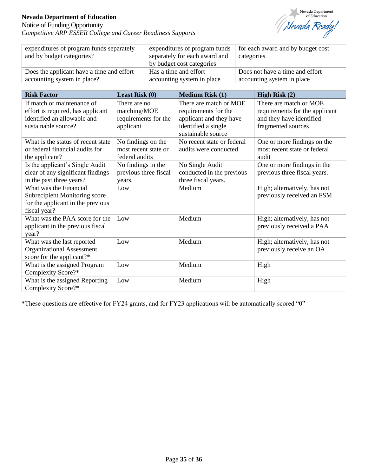Notice of Funding Opportunity *Competitive ARP ESSER College and Career Readiness Supports*



| expenditures of program funds separately<br>and by budget categories? | expenditures of program funds<br>separately for each award and<br>by budget cost categories | for each award and by budget cost<br>categories |
|-----------------------------------------------------------------------|---------------------------------------------------------------------------------------------|-------------------------------------------------|
| Does the applicant have a time and effort                             | Has a time and effort                                                                       | Does not have a time and effort                 |
| accounting system in place?                                           | accounting system in place                                                                  | accounting system in place                      |

| <b>Risk Factor</b>                   | Least Risk $(0)$      | <b>Medium Risk (1)</b>                    | High Risk (2)                  |
|--------------------------------------|-----------------------|-------------------------------------------|--------------------------------|
| If match or maintenance of           | There are no          | There are match or MOE                    | There are match or MOE         |
| effort is required, has applicant    | matching/MOE          | requirements for the                      | requirements for the applicant |
| identified an allowable and          | requirements for the  | applicant and they have                   | and they have identified       |
| sustainable source?                  | applicant             | identified a single<br>sustainable source | fragmented sources             |
| What is the status of recent state   | No findings on the    | No recent state or federal                | One or more findings on the    |
| or federal financial audits for      | most recent state or  | audits were conducted                     | most recent state or federal   |
| the applicant?                       | federal audits        |                                           | audit                          |
| Is the applicant's Single Audit      | No findings in the    | No Single Audit                           | One or more findings in the    |
| clear of any significant findings    | previous three fiscal | conducted in the previous                 | previous three fiscal years.   |
| in the past three years?             | years.                | three fiscal years.                       |                                |
| What was the Financial               | Low                   | Medium                                    | High; alternatively, has not   |
| <b>Subrecipient Monitoring score</b> |                       |                                           | previously received an FSM     |
| for the applicant in the previous    |                       |                                           |                                |
| fiscal year?                         |                       |                                           |                                |
| What was the PAA score for the       | Low                   | Medium                                    | High; alternatively, has not   |
| applicant in the previous fiscal     |                       |                                           | previously received a PAA      |
| year?                                |                       |                                           |                                |
| What was the last reported           | Low                   | Medium                                    | High; alternatively, has not   |
| <b>Organizational Assessment</b>     |                       |                                           | previously receive an OA       |
| score for the applicant?*            |                       |                                           |                                |
| What is the assigned Program         | Low                   | Medium                                    | High                           |
| Complexity Score?*                   |                       |                                           |                                |
| What is the assigned Reporting       | Low                   | Medium                                    | High                           |
| Complexity Score?*                   |                       |                                           |                                |

\*These questions are effective for FY24 grants, and for FY23 applications will be automatically scored "0"